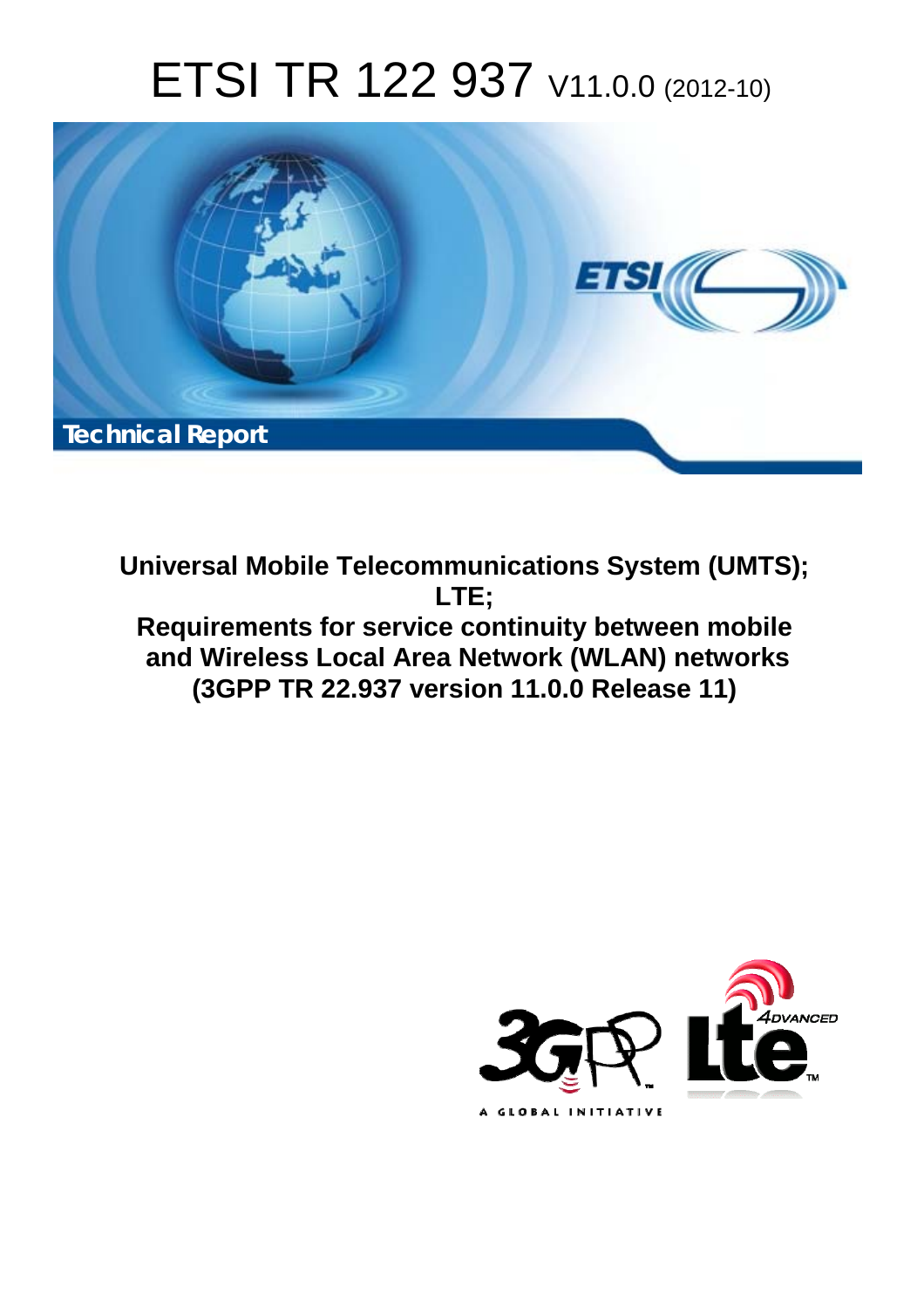# ETSI TR 122 937 V11.0.0 (2012-10)



**Universal Mobile Telecommunications System (UMTS); LTE; Requirements for service continuity between mobile and Wireless Local Area Network (WLAN) networks (3GPP TR 22.937 version 11.0.0 Release 11)** 

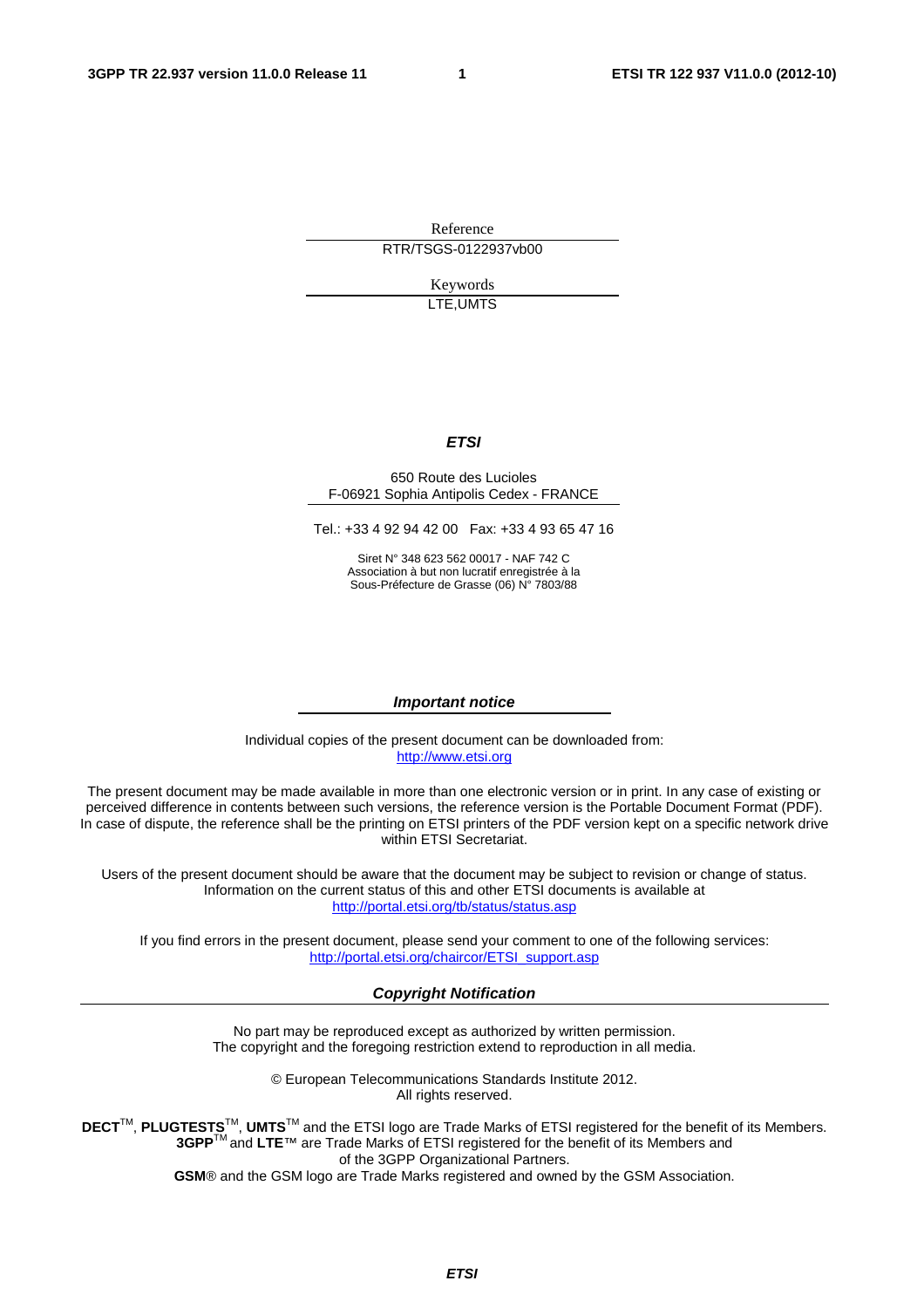Reference RTR/TSGS-0122937vb00

> Keywords LTE,UMTS

#### *ETSI*

#### 650 Route des Lucioles F-06921 Sophia Antipolis Cedex - FRANCE

Tel.: +33 4 92 94 42 00 Fax: +33 4 93 65 47 16

Siret N° 348 623 562 00017 - NAF 742 C Association à but non lucratif enregistrée à la Sous-Préfecture de Grasse (06) N° 7803/88

#### *Important notice*

Individual copies of the present document can be downloaded from: [http://www.etsi.org](http://www.etsi.org/)

The present document may be made available in more than one electronic version or in print. In any case of existing or perceived difference in contents between such versions, the reference version is the Portable Document Format (PDF). In case of dispute, the reference shall be the printing on ETSI printers of the PDF version kept on a specific network drive within ETSI Secretariat.

Users of the present document should be aware that the document may be subject to revision or change of status. Information on the current status of this and other ETSI documents is available at <http://portal.etsi.org/tb/status/status.asp>

If you find errors in the present document, please send your comment to one of the following services: [http://portal.etsi.org/chaircor/ETSI\\_support.asp](http://portal.etsi.org/chaircor/ETSI_support.asp)

#### *Copyright Notification*

No part may be reproduced except as authorized by written permission. The copyright and the foregoing restriction extend to reproduction in all media.

> © European Telecommunications Standards Institute 2012. All rights reserved.

DECT<sup>™</sup>, PLUGTESTS<sup>™</sup>, UMTS<sup>™</sup> and the ETSI logo are Trade Marks of ETSI registered for the benefit of its Members. **3GPP**TM and **LTE**™ are Trade Marks of ETSI registered for the benefit of its Members and of the 3GPP Organizational Partners.

**GSM**® and the GSM logo are Trade Marks registered and owned by the GSM Association.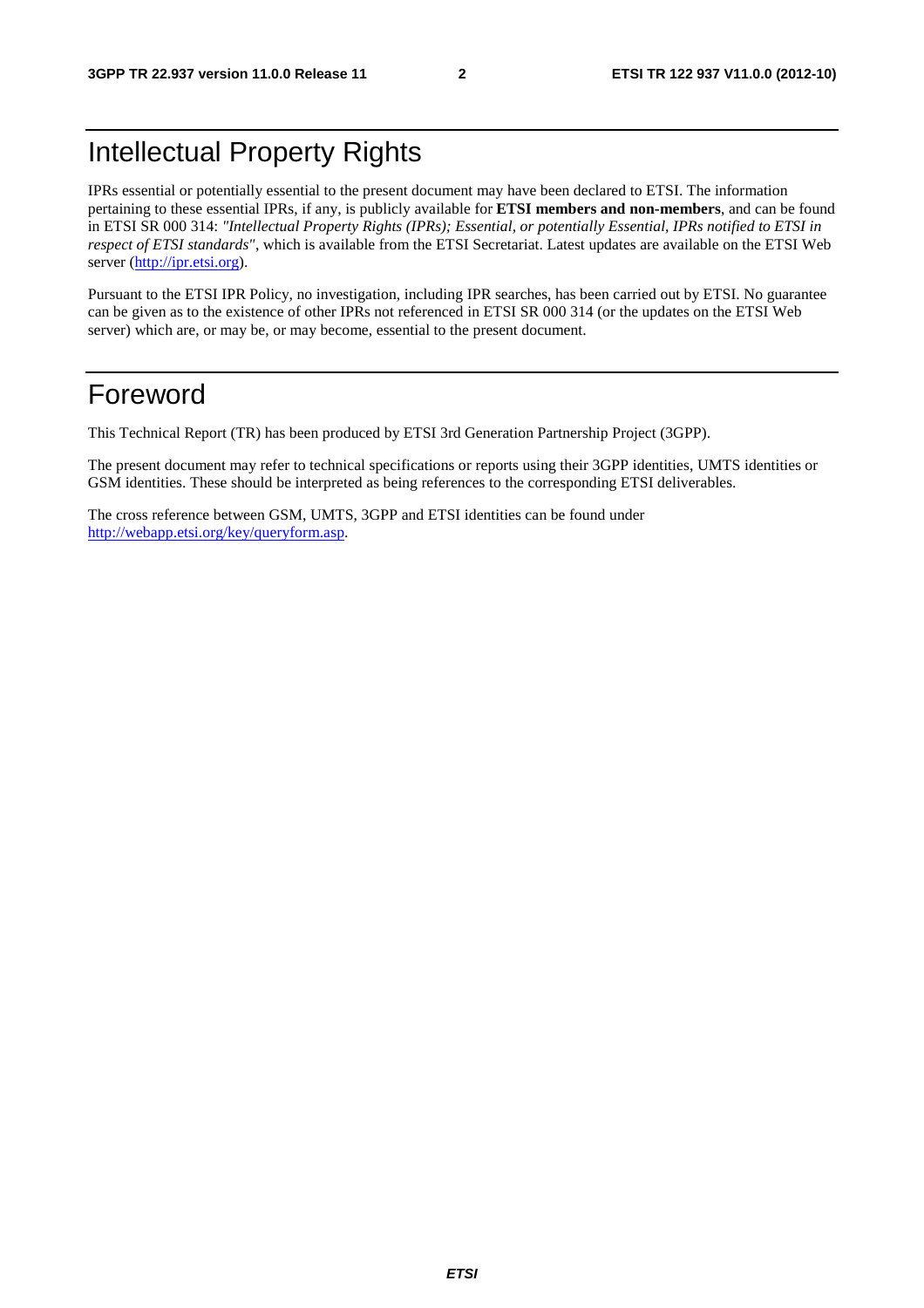## Intellectual Property Rights

IPRs essential or potentially essential to the present document may have been declared to ETSI. The information pertaining to these essential IPRs, if any, is publicly available for **ETSI members and non-members**, and can be found in ETSI SR 000 314: *"Intellectual Property Rights (IPRs); Essential, or potentially Essential, IPRs notified to ETSI in respect of ETSI standards"*, which is available from the ETSI Secretariat. Latest updates are available on the ETSI Web server [\(http://ipr.etsi.org](http://webapp.etsi.org/IPR/home.asp)).

Pursuant to the ETSI IPR Policy, no investigation, including IPR searches, has been carried out by ETSI. No guarantee can be given as to the existence of other IPRs not referenced in ETSI SR 000 314 (or the updates on the ETSI Web server) which are, or may be, or may become, essential to the present document.

## Foreword

This Technical Report (TR) has been produced by ETSI 3rd Generation Partnership Project (3GPP).

The present document may refer to technical specifications or reports using their 3GPP identities, UMTS identities or GSM identities. These should be interpreted as being references to the corresponding ETSI deliverables.

The cross reference between GSM, UMTS, 3GPP and ETSI identities can be found under [http://webapp.etsi.org/key/queryform.asp.](http://webapp.etsi.org/key/queryform.asp)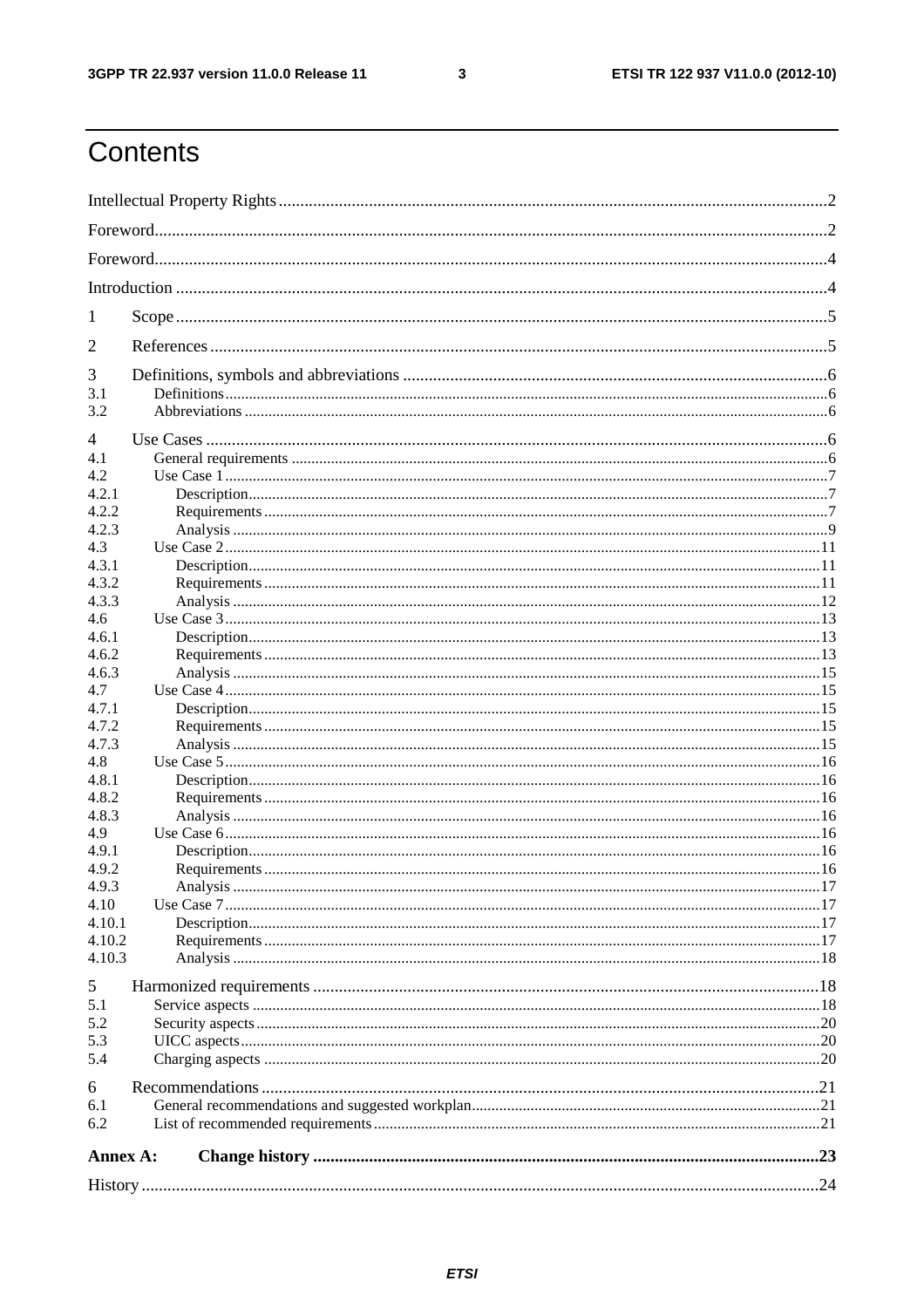$\mathbf{3}$ 

## Contents

| 1              |  |  |  |  |  |  |
|----------------|--|--|--|--|--|--|
| 2              |  |  |  |  |  |  |
| 3<br>3.1       |  |  |  |  |  |  |
| 3.2            |  |  |  |  |  |  |
| 4              |  |  |  |  |  |  |
| 4.1            |  |  |  |  |  |  |
| 4.2            |  |  |  |  |  |  |
| 4.2.1          |  |  |  |  |  |  |
| 4.2.2          |  |  |  |  |  |  |
| 4.2.3          |  |  |  |  |  |  |
| 4.3            |  |  |  |  |  |  |
| 4.3.1          |  |  |  |  |  |  |
| 4.3.2          |  |  |  |  |  |  |
| 4.3.3          |  |  |  |  |  |  |
| 4.6            |  |  |  |  |  |  |
| 4.6.1          |  |  |  |  |  |  |
| 4.6.2<br>4.6.3 |  |  |  |  |  |  |
| 4.7            |  |  |  |  |  |  |
| 4.7.1          |  |  |  |  |  |  |
| 4.7.2          |  |  |  |  |  |  |
| 4.7.3          |  |  |  |  |  |  |
| 4.8            |  |  |  |  |  |  |
| 4.8.1          |  |  |  |  |  |  |
| 4.8.2          |  |  |  |  |  |  |
| 4.8.3          |  |  |  |  |  |  |
| 4.9            |  |  |  |  |  |  |
| 4.9.1          |  |  |  |  |  |  |
| 4.9.2          |  |  |  |  |  |  |
| 4.9.3          |  |  |  |  |  |  |
| 4.10           |  |  |  |  |  |  |
| 4.10.1         |  |  |  |  |  |  |
| 4.10.2         |  |  |  |  |  |  |
| 4.10.3         |  |  |  |  |  |  |
| 5              |  |  |  |  |  |  |
| 5.1            |  |  |  |  |  |  |
| 5.2            |  |  |  |  |  |  |
| 5.3            |  |  |  |  |  |  |
| 5.4            |  |  |  |  |  |  |
| 6              |  |  |  |  |  |  |
| 6.1            |  |  |  |  |  |  |
| 6.2            |  |  |  |  |  |  |
|                |  |  |  |  |  |  |
| Annex A:       |  |  |  |  |  |  |
|                |  |  |  |  |  |  |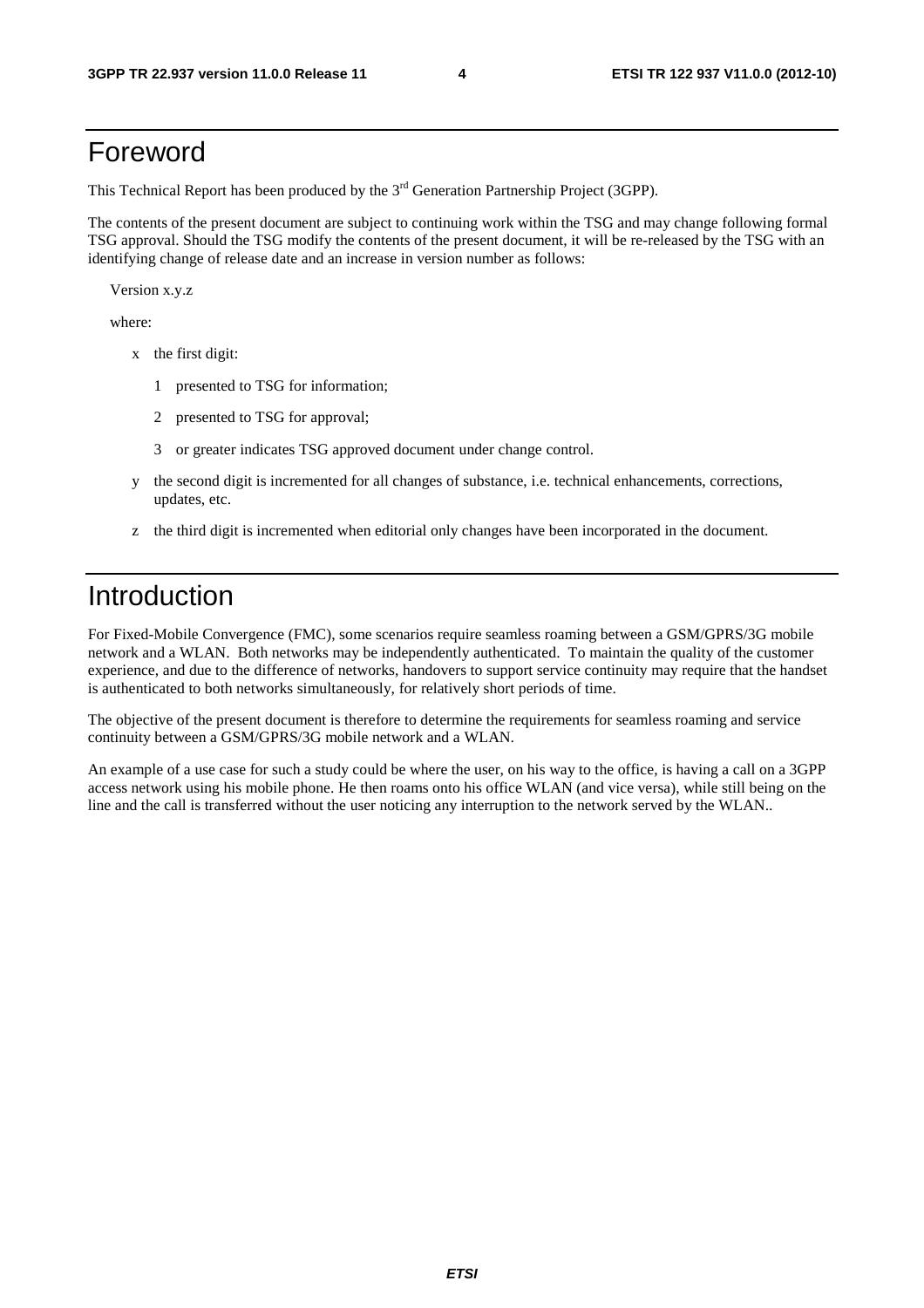## Foreword

This Technical Report has been produced by the  $3<sup>rd</sup>$  Generation Partnership Project (3GPP).

The contents of the present document are subject to continuing work within the TSG and may change following formal TSG approval. Should the TSG modify the contents of the present document, it will be re-released by the TSG with an identifying change of release date and an increase in version number as follows:

Version x.y.z

where:

- x the first digit:
	- 1 presented to TSG for information;
	- 2 presented to TSG for approval;
	- 3 or greater indicates TSG approved document under change control.
- y the second digit is incremented for all changes of substance, i.e. technical enhancements, corrections, updates, etc.
- z the third digit is incremented when editorial only changes have been incorporated in the document.

## Introduction

For Fixed-Mobile Convergence (FMC), some scenarios require seamless roaming between a GSM/GPRS/3G mobile network and a WLAN. Both networks may be independently authenticated. To maintain the quality of the customer experience, and due to the difference of networks, handovers to support service continuity may require that the handset is authenticated to both networks simultaneously, for relatively short periods of time.

The objective of the present document is therefore to determine the requirements for seamless roaming and service continuity between a GSM/GPRS/3G mobile network and a WLAN.

An example of a use case for such a study could be where the user, on his way to the office, is having a call on a 3GPP access network using his mobile phone. He then roams onto his office WLAN (and vice versa), while still being on the line and the call is transferred without the user noticing any interruption to the network served by the WLAN..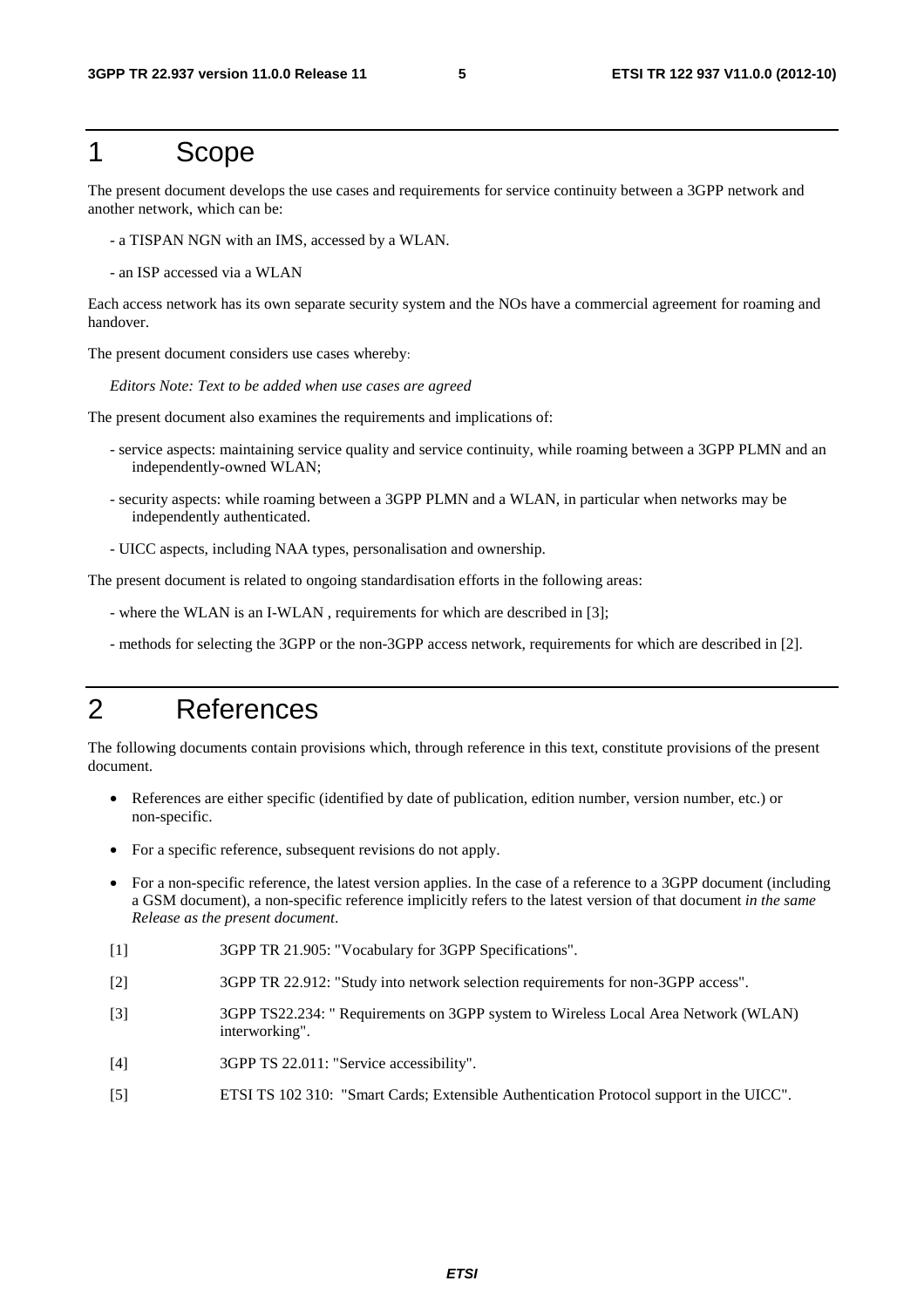### 1 Scope

The present document develops the use cases and requirements for service continuity between a 3GPP network and another network, which can be:

- a TISPAN NGN with an IMS, accessed by a WLAN.
- an ISP accessed via a WLAN

Each access network has its own separate security system and the NOs have a commercial agreement for roaming and handover.

The present document considers use cases whereby:

*Editors Note: Text to be added when use cases are agreed*

The present document also examines the requirements and implications of:

- service aspects: maintaining service quality and service continuity, while roaming between a 3GPP PLMN and an independently-owned WLAN;
- security aspects: while roaming between a 3GPP PLMN and a WLAN, in particular when networks may be independently authenticated.
- UICC aspects, including NAA types, personalisation and ownership.

The present document is related to ongoing standardisation efforts in the following areas:

- where the WLAN is an I-WLAN , requirements for which are described in [3];
- methods for selecting the 3GPP or the non-3GPP access network, requirements for which are described in [2].

## 2 References

The following documents contain provisions which, through reference in this text, constitute provisions of the present document.

- References are either specific (identified by date of publication, edition number, version number, etc.) or non-specific.
- For a specific reference, subsequent revisions do not apply.
- For a non-specific reference, the latest version applies. In the case of a reference to a 3GPP document (including a GSM document), a non-specific reference implicitly refers to the latest version of that document *in the same Release as the present document*.
- [1] 3GPP TR 21.905: "Vocabulary for 3GPP Specifications".
- [2] 3GPP TR 22.912: "Study into network selection requirements for non-3GPP access".
- [3] 3GPP TS22.234: " Requirements on 3GPP system to Wireless Local Area Network (WLAN) interworking".
- [4] 3GPP TS 22.011: "Service accessibility".
- [5] ETSI TS 102 310: "Smart Cards; Extensible Authentication Protocol support in the UICC".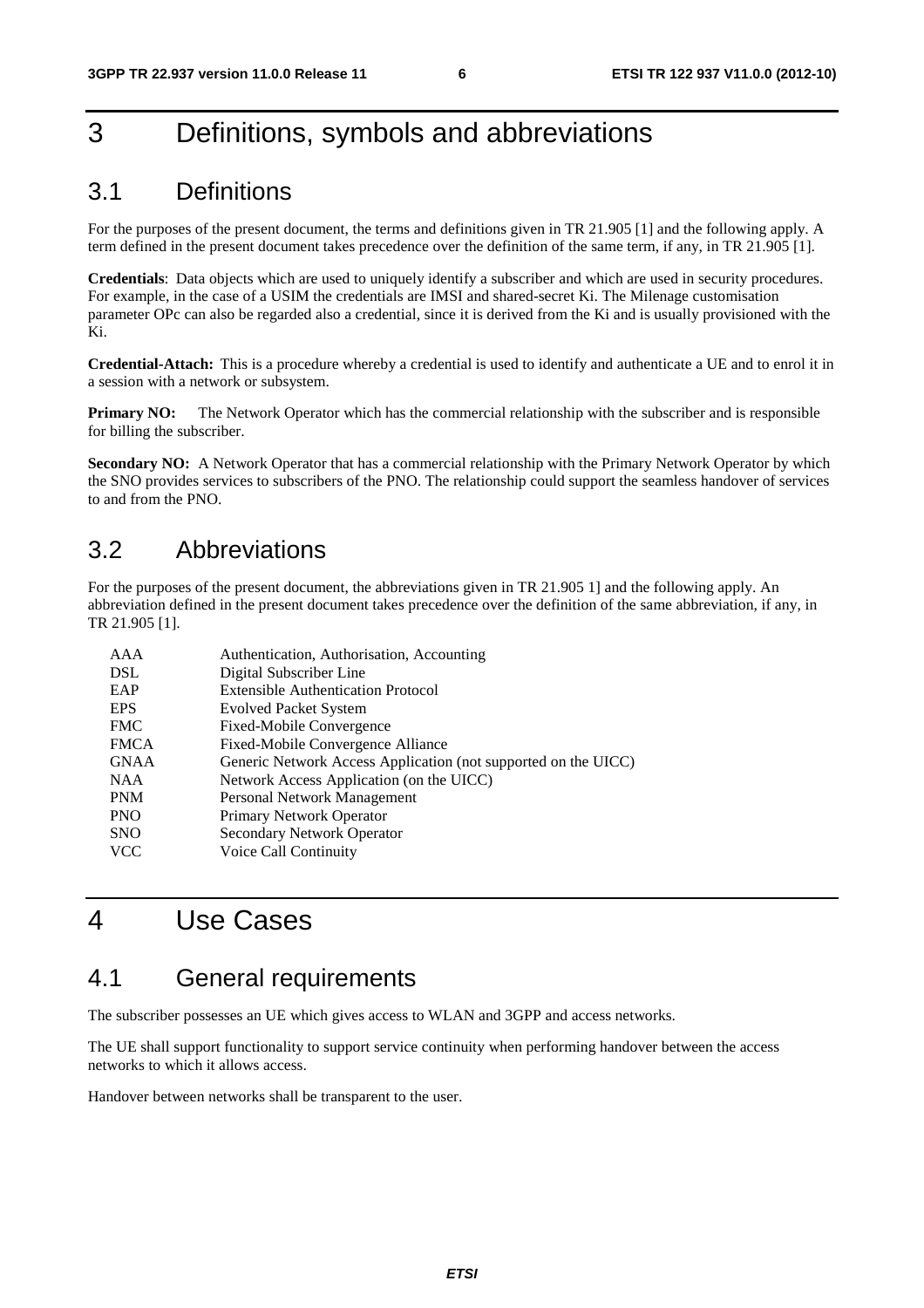## 3 Definitions, symbols and abbreviations

### 3.1 Definitions

For the purposes of the present document, the terms and definitions given in TR 21.905 [1] and the following apply. A term defined in the present document takes precedence over the definition of the same term, if any, in TR 21.905 [1].

**Credentials**: Data objects which are used to uniquely identify a subscriber and which are used in security procedures. For example, in the case of a USIM the credentials are IMSI and shared-secret Ki. The Milenage customisation parameter OPc can also be regarded also a credential, since it is derived from the Ki and is usually provisioned with the Ki.

**Credential-Attach:** This is a procedure whereby a credential is used to identify and authenticate a UE and to enrol it in a session with a network or subsystem.

**Primary NO:** The Network Operator which has the commercial relationship with the subscriber and is responsible for billing the subscriber.

**Secondary NO:** A Network Operator that has a commercial relationship with the Primary Network Operator by which the SNO provides services to subscribers of the PNO. The relationship could support the seamless handover of services to and from the PNO.

### 3.2 Abbreviations

For the purposes of the present document, the abbreviations given in TR 21.905 1] and the following apply. An abbreviation defined in the present document takes precedence over the definition of the same abbreviation, if any, in TR 21.905 [1].

| AAA         | Authentication, Authorisation, Accounting                      |
|-------------|----------------------------------------------------------------|
| <b>DSL</b>  | Digital Subscriber Line                                        |
| EAP         | <b>Extensible Authentication Protocol</b>                      |
| <b>EPS</b>  | <b>Evolved Packet System</b>                                   |
| <b>FMC</b>  | Fixed-Mobile Convergence                                       |
| <b>FMCA</b> | Fixed-Mobile Convergence Alliance                              |
| <b>GNAA</b> | Generic Network Access Application (not supported on the UICC) |
| <b>NAA</b>  | Network Access Application (on the UICC)                       |
| <b>PNM</b>  | Personal Network Management                                    |
| <b>PNO</b>  | Primary Network Operator                                       |
| <b>SNO</b>  | Secondary Network Operator                                     |
| <b>VCC</b>  | Voice Call Continuity                                          |
|             |                                                                |

## 4 Use Cases

### 4.1 General requirements

The subscriber possesses an UE which gives access to WLAN and 3GPP and access networks.

The UE shall support functionality to support service continuity when performing handover between the access networks to which it allows access.

Handover between networks shall be transparent to the user.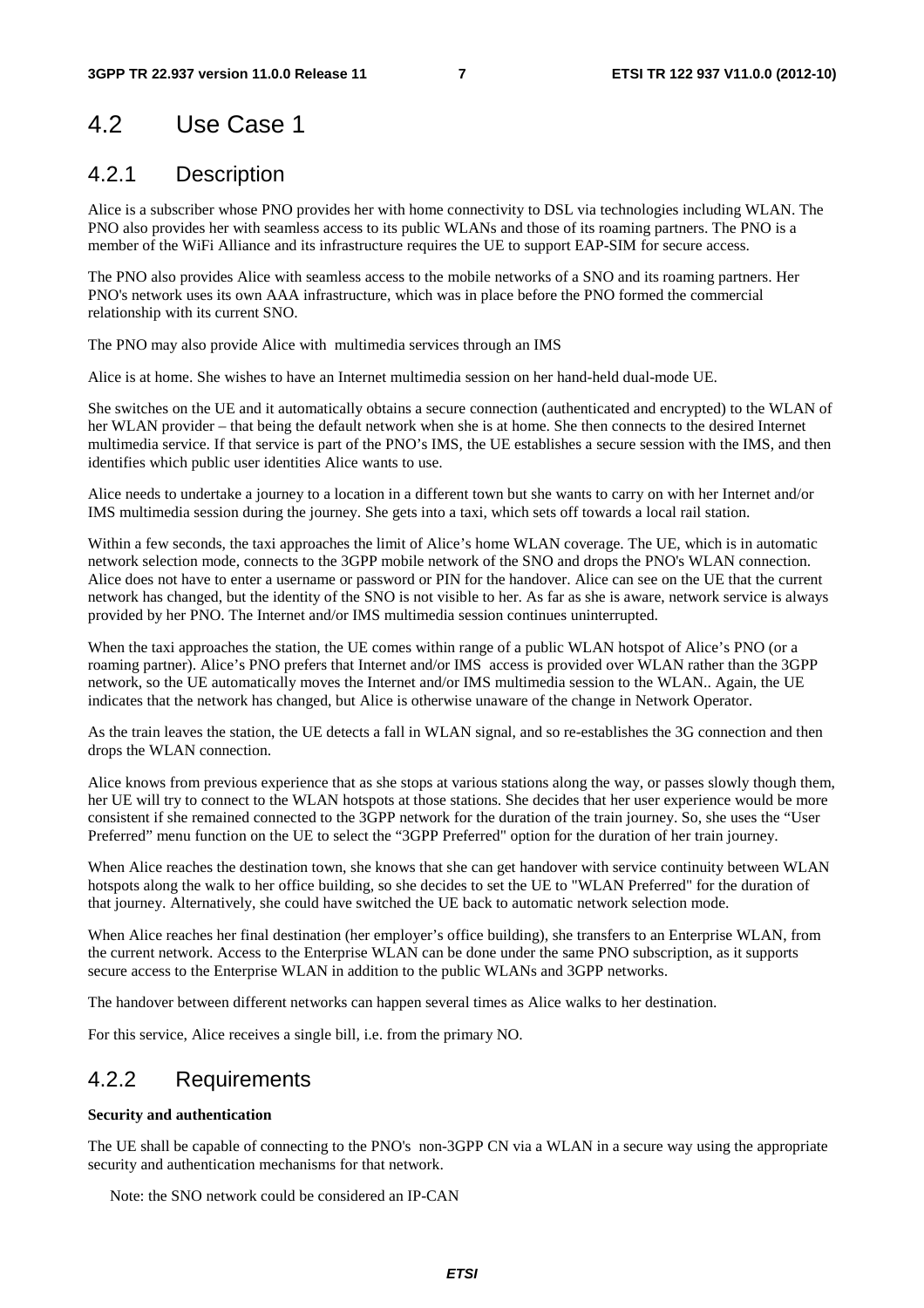## 4.2 Use Case 1

### 4.2.1 Description

Alice is a subscriber whose PNO provides her with home connectivity to DSL via technologies including WLAN. The PNO also provides her with seamless access to its public WLANs and those of its roaming partners. The PNO is a member of the WiFi Alliance and its infrastructure requires the UE to support EAP-SIM for secure access.

The PNO also provides Alice with seamless access to the mobile networks of a SNO and its roaming partners. Her PNO's network uses its own AAA infrastructure, which was in place before the PNO formed the commercial relationship with its current SNO.

The PNO may also provide Alice with multimedia services through an IMS

Alice is at home. She wishes to have an Internet multimedia session on her hand-held dual-mode UE.

She switches on the UE and it automatically obtains a secure connection (authenticated and encrypted) to the WLAN of her WLAN provider – that being the default network when she is at home. She then connects to the desired Internet multimedia service. If that service is part of the PNO's IMS, the UE establishes a secure session with the IMS, and then identifies which public user identities Alice wants to use.

Alice needs to undertake a journey to a location in a different town but she wants to carry on with her Internet and/or IMS multimedia session during the journey. She gets into a taxi, which sets off towards a local rail station.

Within a few seconds, the taxi approaches the limit of Alice's home WLAN coverage. The UE, which is in automatic network selection mode, connects to the 3GPP mobile network of the SNO and drops the PNO's WLAN connection. Alice does not have to enter a username or password or PIN for the handover. Alice can see on the UE that the current network has changed, but the identity of the SNO is not visible to her. As far as she is aware, network service is always provided by her PNO. The Internet and/or IMS multimedia session continues uninterrupted.

When the taxi approaches the station, the UE comes within range of a public WLAN hotspot of Alice's PNO (or a roaming partner). Alice's PNO prefers that Internet and/or IMS access is provided over WLAN rather than the 3GPP network, so the UE automatically moves the Internet and/or IMS multimedia session to the WLAN.. Again, the UE indicates that the network has changed, but Alice is otherwise unaware of the change in Network Operator.

As the train leaves the station, the UE detects a fall in WLAN signal, and so re-establishes the 3G connection and then drops the WLAN connection.

Alice knows from previous experience that as she stops at various stations along the way, or passes slowly though them, her UE will try to connect to the WLAN hotspots at those stations. She decides that her user experience would be more consistent if she remained connected to the 3GPP network for the duration of the train journey. So, she uses the "User Preferred" menu function on the UE to select the "3GPP Preferred" option for the duration of her train journey.

When Alice reaches the destination town, she knows that she can get handover with service continuity between WLAN hotspots along the walk to her office building, so she decides to set the UE to "WLAN Preferred" for the duration of that journey. Alternatively, she could have switched the UE back to automatic network selection mode.

When Alice reaches her final destination (her employer's office building), she transfers to an Enterprise WLAN, from the current network. Access to the Enterprise WLAN can be done under the same PNO subscription, as it supports secure access to the Enterprise WLAN in addition to the public WLANs and 3GPP networks.

The handover between different networks can happen several times as Alice walks to her destination.

For this service, Alice receives a single bill, i.e. from the primary NO.

### 4.2.2 Requirements

#### **Security and authentication**

The UE shall be capable of connecting to the PNO's non-3GPP CN via a WLAN in a secure way using the appropriate security and authentication mechanisms for that network.

Note: the SNO network could be considered an IP-CAN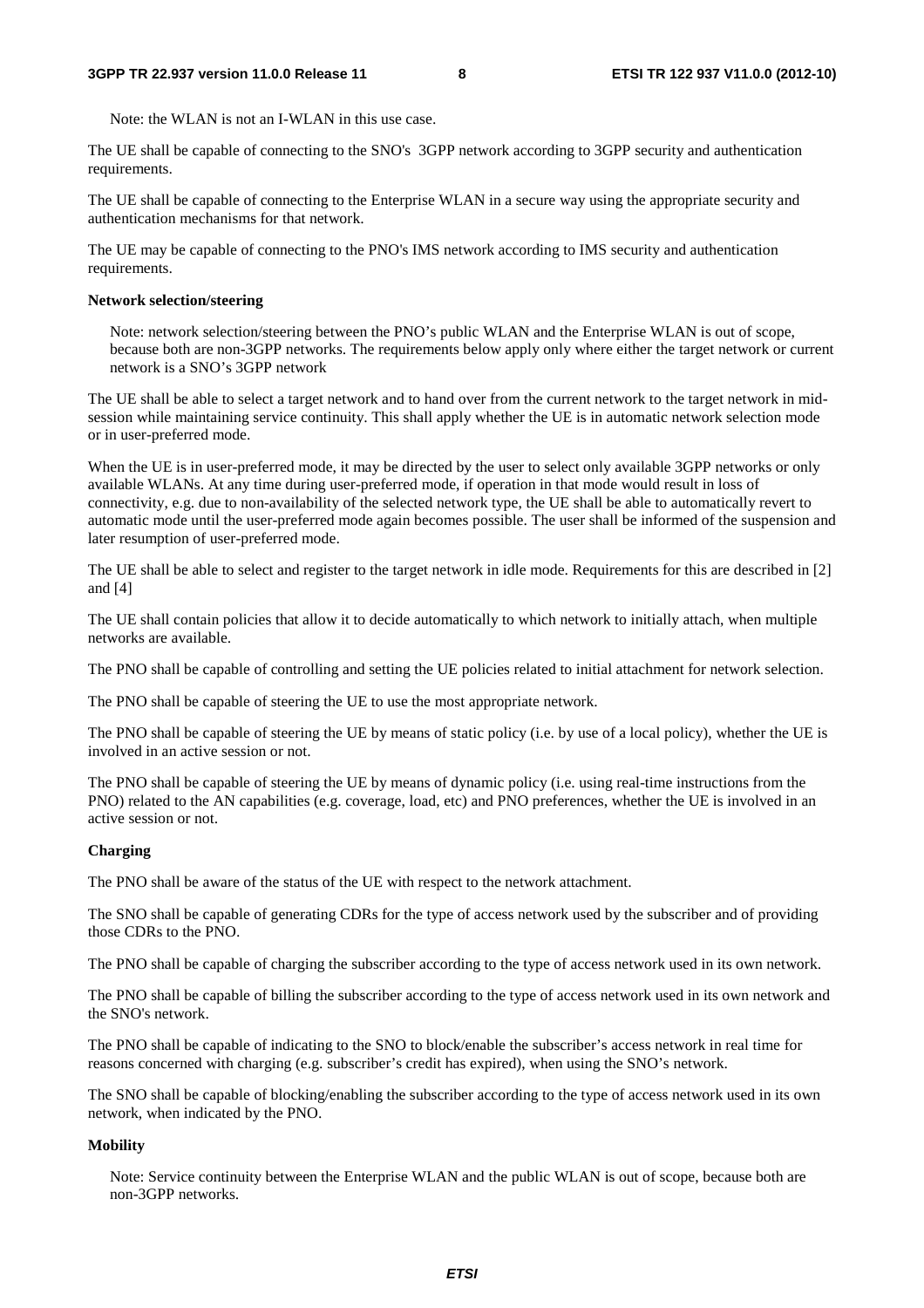Note: the WLAN is not an I-WLAN in this use case.

The UE shall be capable of connecting to the SNO's 3GPP network according to 3GPP security and authentication requirements.

The UE shall be capable of connecting to the Enterprise WLAN in a secure way using the appropriate security and authentication mechanisms for that network.

The UE may be capable of connecting to the PNO's IMS network according to IMS security and authentication requirements.

#### **Network selection/steering**

Note: network selection/steering between the PNO's public WLAN and the Enterprise WLAN is out of scope, because both are non-3GPP networks. The requirements below apply only where either the target network or current network is a SNO's 3GPP network

The UE shall be able to select a target network and to hand over from the current network to the target network in midsession while maintaining service continuity. This shall apply whether the UE is in automatic network selection mode or in user-preferred mode.

When the UE is in user-preferred mode, it may be directed by the user to select only available 3GPP networks or only available WLANs. At any time during user-preferred mode, if operation in that mode would result in loss of connectivity, e.g. due to non-availability of the selected network type, the UE shall be able to automatically revert to automatic mode until the user-preferred mode again becomes possible. The user shall be informed of the suspension and later resumption of user-preferred mode.

The UE shall be able to select and register to the target network in idle mode. Requirements for this are described in [2] and [4]

The UE shall contain policies that allow it to decide automatically to which network to initially attach, when multiple networks are available.

The PNO shall be capable of controlling and setting the UE policies related to initial attachment for network selection.

The PNO shall be capable of steering the UE to use the most appropriate network.

The PNO shall be capable of steering the UE by means of static policy (i.e. by use of a local policy), whether the UE is involved in an active session or not.

The PNO shall be capable of steering the UE by means of dynamic policy (i.e. using real-time instructions from the PNO) related to the AN capabilities (e.g. coverage, load, etc) and PNO preferences, whether the UE is involved in an active session or not.

#### **Charging**

The PNO shall be aware of the status of the UE with respect to the network attachment.

The SNO shall be capable of generating CDRs for the type of access network used by the subscriber and of providing those CDRs to the PNO.

The PNO shall be capable of charging the subscriber according to the type of access network used in its own network.

The PNO shall be capable of billing the subscriber according to the type of access network used in its own network and the SNO's network.

The PNO shall be capable of indicating to the SNO to block/enable the subscriber's access network in real time for reasons concerned with charging (e.g. subscriber's credit has expired), when using the SNO's network.

The SNO shall be capable of blocking/enabling the subscriber according to the type of access network used in its own network, when indicated by the PNO.

#### **Mobility**

Note: Service continuity between the Enterprise WLAN and the public WLAN is out of scope, because both are non-3GPP networks.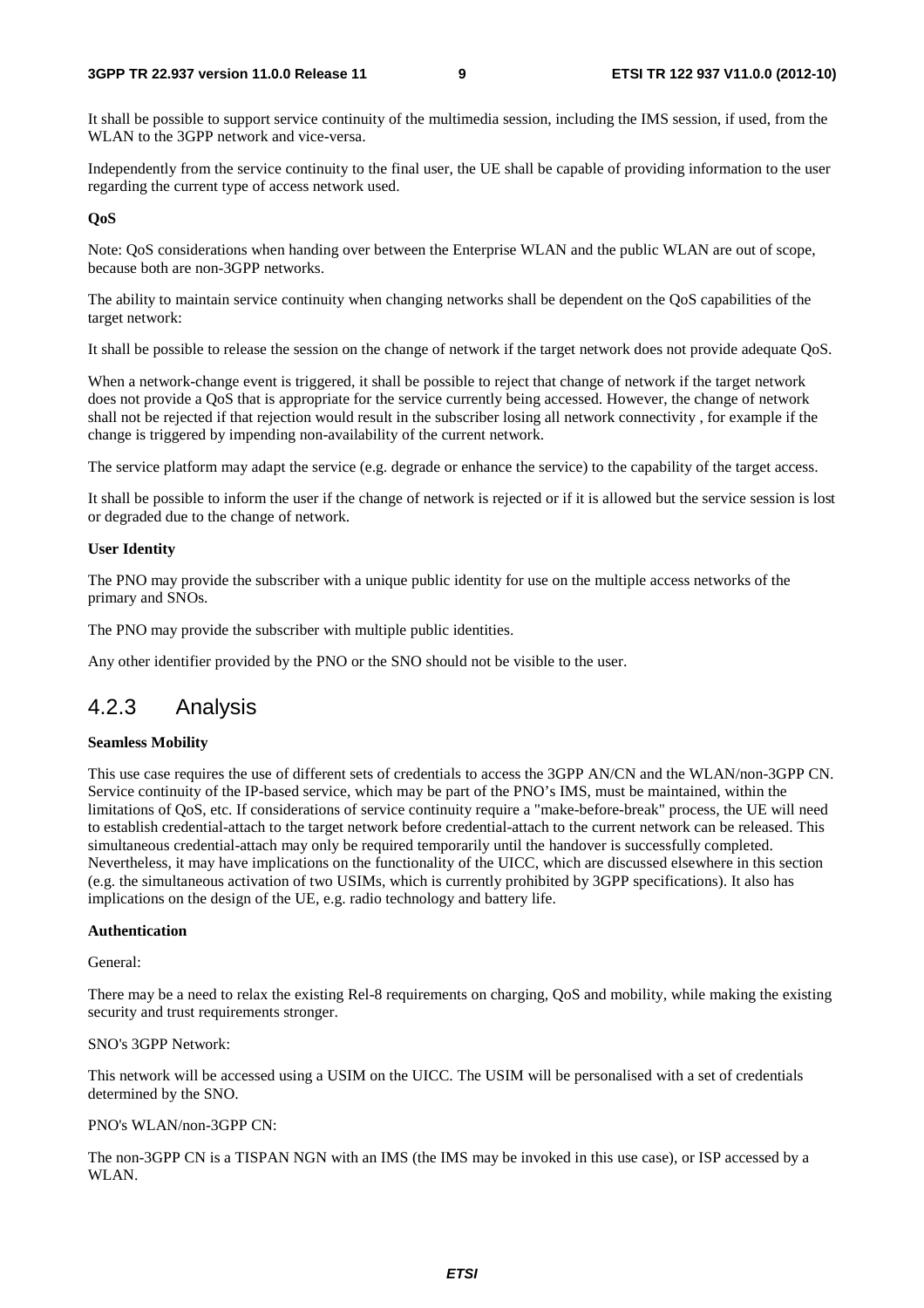It shall be possible to support service continuity of the multimedia session, including the IMS session, if used, from the WLAN to the 3GPP network and vice-versa.

Independently from the service continuity to the final user, the UE shall be capable of providing information to the user regarding the current type of access network used.

#### **QoS**

Note: QoS considerations when handing over between the Enterprise WLAN and the public WLAN are out of scope, because both are non-3GPP networks.

The ability to maintain service continuity when changing networks shall be dependent on the QoS capabilities of the target network:

It shall be possible to release the session on the change of network if the target network does not provide adequate QoS.

When a network-change event is triggered, it shall be possible to reject that change of network if the target network does not provide a QoS that is appropriate for the service currently being accessed. However, the change of network shall not be rejected if that rejection would result in the subscriber losing all network connectivity , for example if the change is triggered by impending non-availability of the current network.

The service platform may adapt the service (e.g. degrade or enhance the service) to the capability of the target access.

It shall be possible to inform the user if the change of network is rejected or if it is allowed but the service session is lost or degraded due to the change of network.

#### **User Identity**

The PNO may provide the subscriber with a unique public identity for use on the multiple access networks of the primary and SNOs.

The PNO may provide the subscriber with multiple public identities.

Any other identifier provided by the PNO or the SNO should not be visible to the user.

### 4.2.3 Analysis

#### **Seamless Mobility**

This use case requires the use of different sets of credentials to access the 3GPP AN/CN and the WLAN/non-3GPP CN. Service continuity of the IP-based service, which may be part of the PNO's IMS, must be maintained, within the limitations of QoS, etc. If considerations of service continuity require a "make-before-break" process, the UE will need to establish credential-attach to the target network before credential-attach to the current network can be released. This simultaneous credential-attach may only be required temporarily until the handover is successfully completed. Nevertheless, it may have implications on the functionality of the UICC, which are discussed elsewhere in this section (e.g. the simultaneous activation of two USIMs, which is currently prohibited by 3GPP specifications). It also has implications on the design of the UE, e.g. radio technology and battery life.

#### **Authentication**

General:

There may be a need to relax the existing Rel-8 requirements on charging, QoS and mobility, while making the existing security and trust requirements stronger.

#### SNO's 3GPP Network:

This network will be accessed using a USIM on the UICC. The USIM will be personalised with a set of credentials determined by the SNO.

#### PNO's WLAN/non-3GPP CN:

The non-3GPP CN is a TISPAN NGN with an IMS (the IMS may be invoked in this use case), or ISP accessed by a WLAN.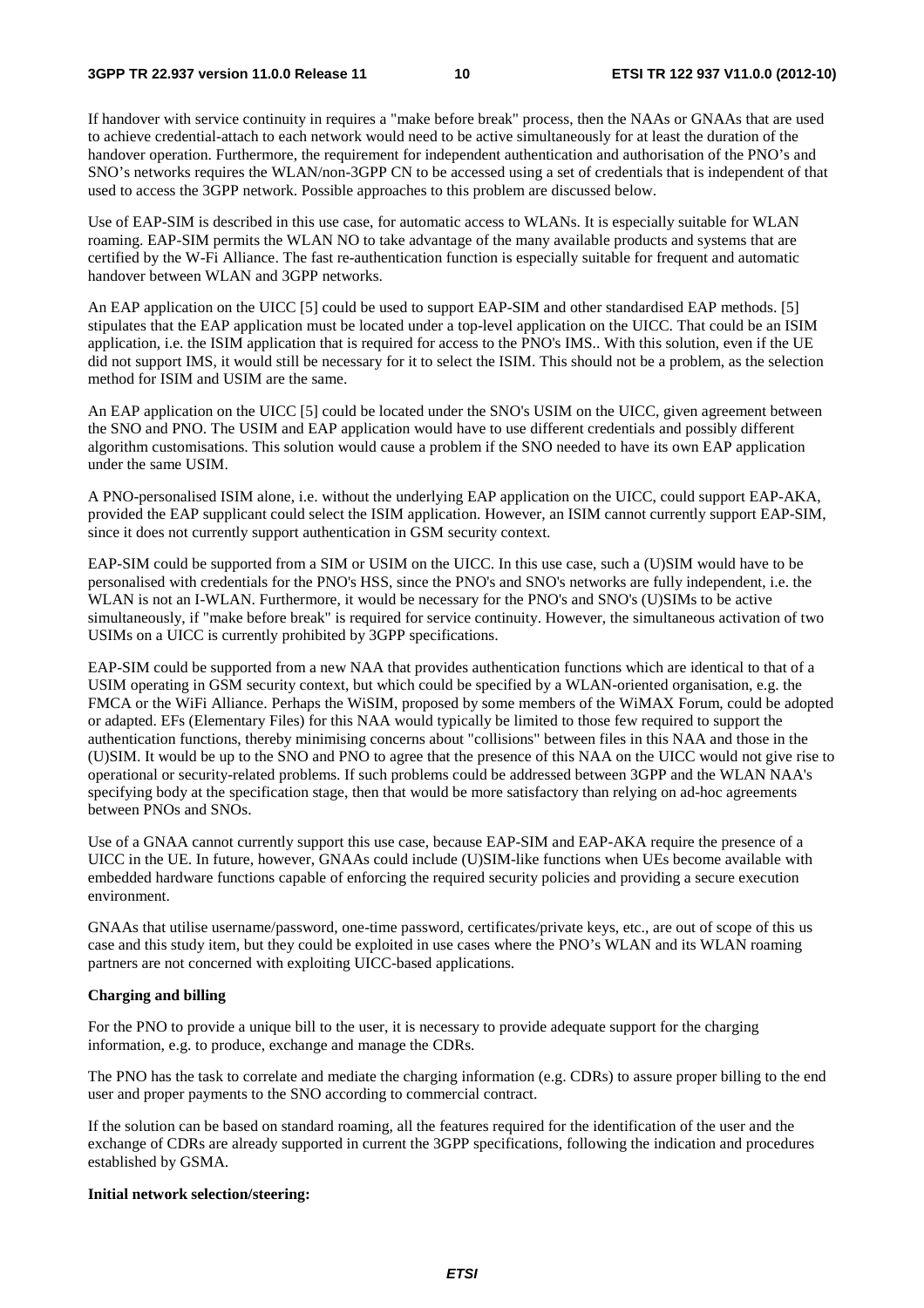If handover with service continuity in requires a "make before break" process, then the NAAs or GNAAs that are used to achieve credential-attach to each network would need to be active simultaneously for at least the duration of the handover operation. Furthermore, the requirement for independent authentication and authorisation of the PNO's and SNO's networks requires the WLAN/non-3GPP CN to be accessed using a set of credentials that is independent of that used to access the 3GPP network. Possible approaches to this problem are discussed below.

Use of EAP-SIM is described in this use case, for automatic access to WLANs. It is especially suitable for WLAN roaming. EAP-SIM permits the WLAN NO to take advantage of the many available products and systems that are certified by the W-Fi Alliance. The fast re-authentication function is especially suitable for frequent and automatic handover between WLAN and 3GPP networks.

An EAP application on the UICC [5] could be used to support EAP-SIM and other standardised EAP methods. [5] stipulates that the EAP application must be located under a top-level application on the UICC. That could be an ISIM application, i.e. the ISIM application that is required for access to the PNO's IMS.. With this solution, even if the UE did not support IMS, it would still be necessary for it to select the ISIM. This should not be a problem, as the selection method for ISIM and USIM are the same.

An EAP application on the UICC [5] could be located under the SNO's USIM on the UICC, given agreement between the SNO and PNO. The USIM and EAP application would have to use different credentials and possibly different algorithm customisations. This solution would cause a problem if the SNO needed to have its own EAP application under the same USIM.

A PNO-personalised ISIM alone, i.e. without the underlying EAP application on the UICC, could support EAP-AKA, provided the EAP supplicant could select the ISIM application. However, an ISIM cannot currently support EAP-SIM, since it does not currently support authentication in GSM security context.

EAP-SIM could be supported from a SIM or USIM on the UICC. In this use case, such a (U)SIM would have to be personalised with credentials for the PNO's HSS, since the PNO's and SNO's networks are fully independent, i.e. the WLAN is not an I-WLAN. Furthermore, it would be necessary for the PNO's and SNO's (U)SIMs to be active simultaneously, if "make before break" is required for service continuity. However, the simultaneous activation of two USIMs on a UICC is currently prohibited by 3GPP specifications.

EAP-SIM could be supported from a new NAA that provides authentication functions which are identical to that of a USIM operating in GSM security context, but which could be specified by a WLAN-oriented organisation, e.g. the FMCA or the WiFi Alliance. Perhaps the WiSIM, proposed by some members of the WiMAX Forum, could be adopted or adapted. EFs (Elementary Files) for this NAA would typically be limited to those few required to support the authentication functions, thereby minimising concerns about "collisions" between files in this NAA and those in the (U)SIM. It would be up to the SNO and PNO to agree that the presence of this NAA on the UICC would not give rise to operational or security-related problems. If such problems could be addressed between 3GPP and the WLAN NAA's specifying body at the specification stage, then that would be more satisfactory than relying on ad-hoc agreements between PNOs and SNOs.

Use of a GNAA cannot currently support this use case, because EAP-SIM and EAP-AKA require the presence of a UICC in the UE. In future, however, GNAAs could include (U)SIM-like functions when UEs become available with embedded hardware functions capable of enforcing the required security policies and providing a secure execution environment.

GNAAs that utilise username/password, one-time password, certificates/private keys, etc., are out of scope of this us case and this study item, but they could be exploited in use cases where the PNO's WLAN and its WLAN roaming partners are not concerned with exploiting UICC-based applications.

#### **Charging and billing**

For the PNO to provide a unique bill to the user, it is necessary to provide adequate support for the charging information, e.g. to produce, exchange and manage the CDRs.

The PNO has the task to correlate and mediate the charging information (e.g. CDRs) to assure proper billing to the end user and proper payments to the SNO according to commercial contract.

If the solution can be based on standard roaming, all the features required for the identification of the user and the exchange of CDRs are already supported in current the 3GPP specifications, following the indication and procedures established by GSMA.

#### **Initial network selection/steering:**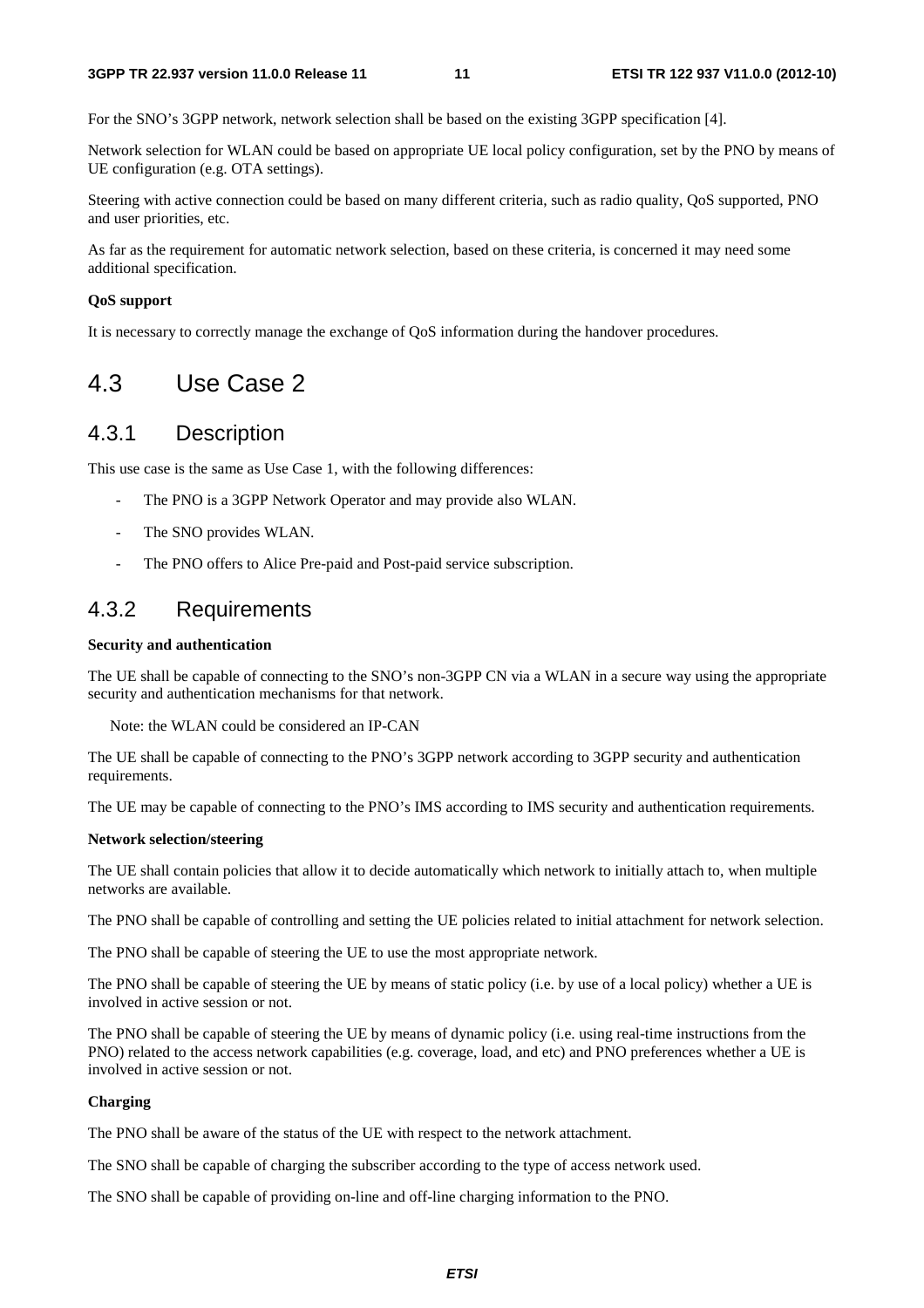For the SNO's 3GPP network, network selection shall be based on the existing 3GPP specification [4].

Network selection for WLAN could be based on appropriate UE local policy configuration, set by the PNO by means of UE configuration (e.g. OTA settings).

Steering with active connection could be based on many different criteria, such as radio quality, QoS supported, PNO and user priorities, etc.

As far as the requirement for automatic network selection, based on these criteria, is concerned it may need some additional specification.

#### **QoS support**

It is necessary to correctly manage the exchange of QoS information during the handover procedures.

### 4.3 Use Case 2

### 4.3.1 Description

This use case is the same as Use Case 1, with the following differences:

- The PNO is a 3GPP Network Operator and may provide also WLAN.
- The SNO provides WLAN.
- The PNO offers to Alice Pre-paid and Post-paid service subscription.

### 4.3.2 Requirements

#### **Security and authentication**

The UE shall be capable of connecting to the SNO's non-3GPP CN via a WLAN in a secure way using the appropriate security and authentication mechanisms for that network.

Note: the WLAN could be considered an IP-CAN

The UE shall be capable of connecting to the PNO's 3GPP network according to 3GPP security and authentication requirements.

The UE may be capable of connecting to the PNO's IMS according to IMS security and authentication requirements.

#### **Network selection/steering**

The UE shall contain policies that allow it to decide automatically which network to initially attach to, when multiple networks are available.

The PNO shall be capable of controlling and setting the UE policies related to initial attachment for network selection.

The PNO shall be capable of steering the UE to use the most appropriate network.

The PNO shall be capable of steering the UE by means of static policy (i.e. by use of a local policy) whether a UE is involved in active session or not.

The PNO shall be capable of steering the UE by means of dynamic policy (i.e. using real-time instructions from the PNO) related to the access network capabilities (e.g. coverage, load, and etc) and PNO preferences whether a UE is involved in active session or not.

#### **Charging**

The PNO shall be aware of the status of the UE with respect to the network attachment.

The SNO shall be capable of charging the subscriber according to the type of access network used.

The SNO shall be capable of providing on-line and off-line charging information to the PNO.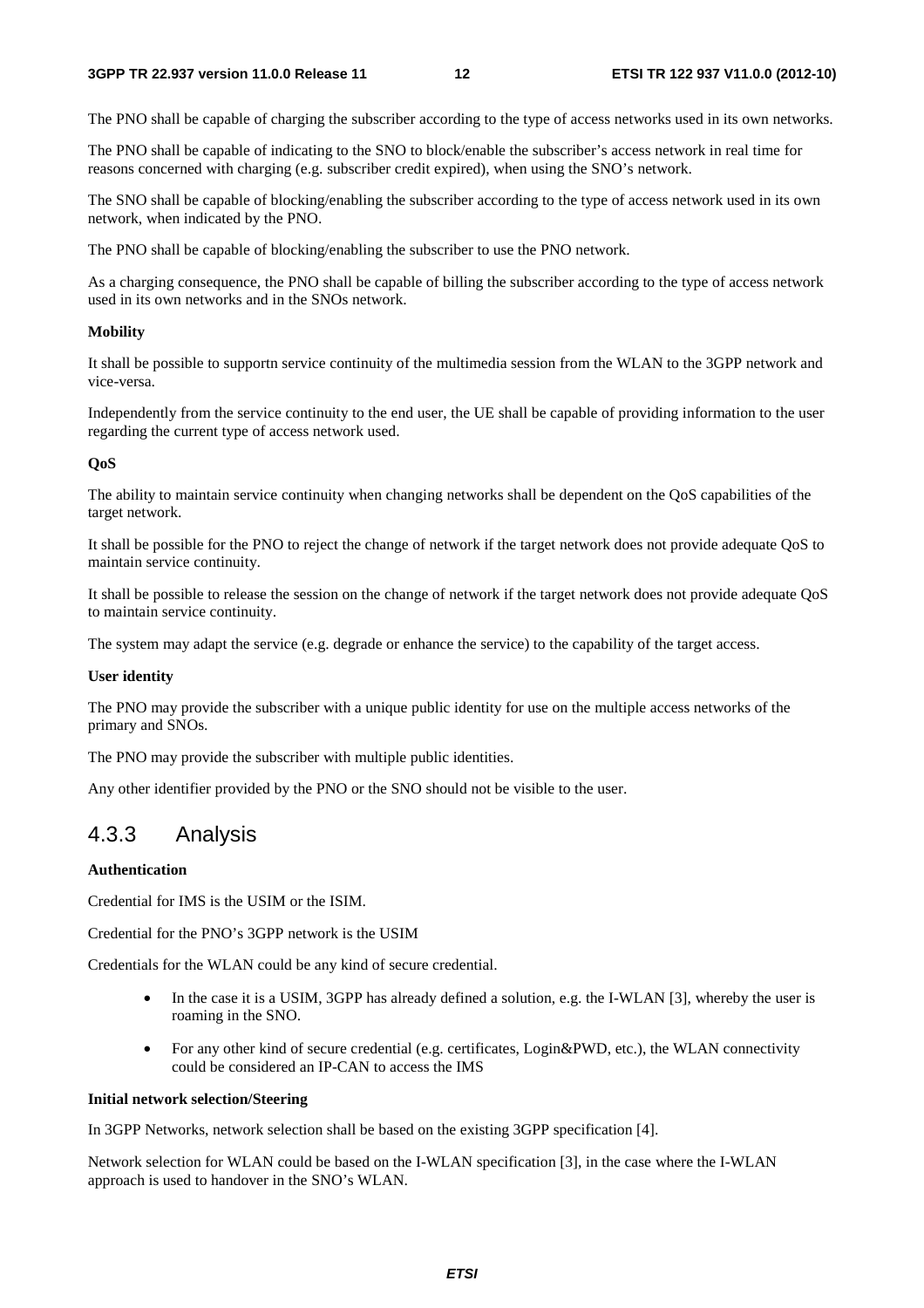The PNO shall be capable of charging the subscriber according to the type of access networks used in its own networks.

The PNO shall be capable of indicating to the SNO to block/enable the subscriber's access network in real time for reasons concerned with charging (e.g. subscriber credit expired), when using the SNO's network.

The SNO shall be capable of blocking/enabling the subscriber according to the type of access network used in its own network, when indicated by the PNO.

The PNO shall be capable of blocking/enabling the subscriber to use the PNO network.

As a charging consequence, the PNO shall be capable of billing the subscriber according to the type of access network used in its own networks and in the SNOs network.

#### **Mobility**

It shall be possible to supportn service continuity of the multimedia session from the WLAN to the 3GPP network and vice-versa.

Independently from the service continuity to the end user, the UE shall be capable of providing information to the user regarding the current type of access network used.

#### **QoS**

The ability to maintain service continuity when changing networks shall be dependent on the QoS capabilities of the target network.

It shall be possible for the PNO to reject the change of network if the target network does not provide adequate QoS to maintain service continuity.

It shall be possible to release the session on the change of network if the target network does not provide adequate QoS to maintain service continuity.

The system may adapt the service (e.g. degrade or enhance the service) to the capability of the target access.

#### **User identity**

The PNO may provide the subscriber with a unique public identity for use on the multiple access networks of the primary and SNOs.

The PNO may provide the subscriber with multiple public identities.

Any other identifier provided by the PNO or the SNO should not be visible to the user.

### 4.3.3 Analysis

#### **Authentication**

Credential for IMS is the USIM or the ISIM.

Credential for the PNO's 3GPP network is the USIM

Credentials for the WLAN could be any kind of secure credential.

- In the case it is a USIM, 3GPP has already defined a solution, e.g. the I-WLAN [3], whereby the user is roaming in the SNO.
- For any other kind of secure credential (e.g. certificates, Login&PWD, etc.), the WLAN connectivity could be considered an IP-CAN to access the IMS

#### **Initial network selection/Steering**

In 3GPP Networks, network selection shall be based on the existing 3GPP specification [4].

Network selection for WLAN could be based on the I-WLAN specification [3], in the case where the I-WLAN approach is used to handover in the SNO's WLAN.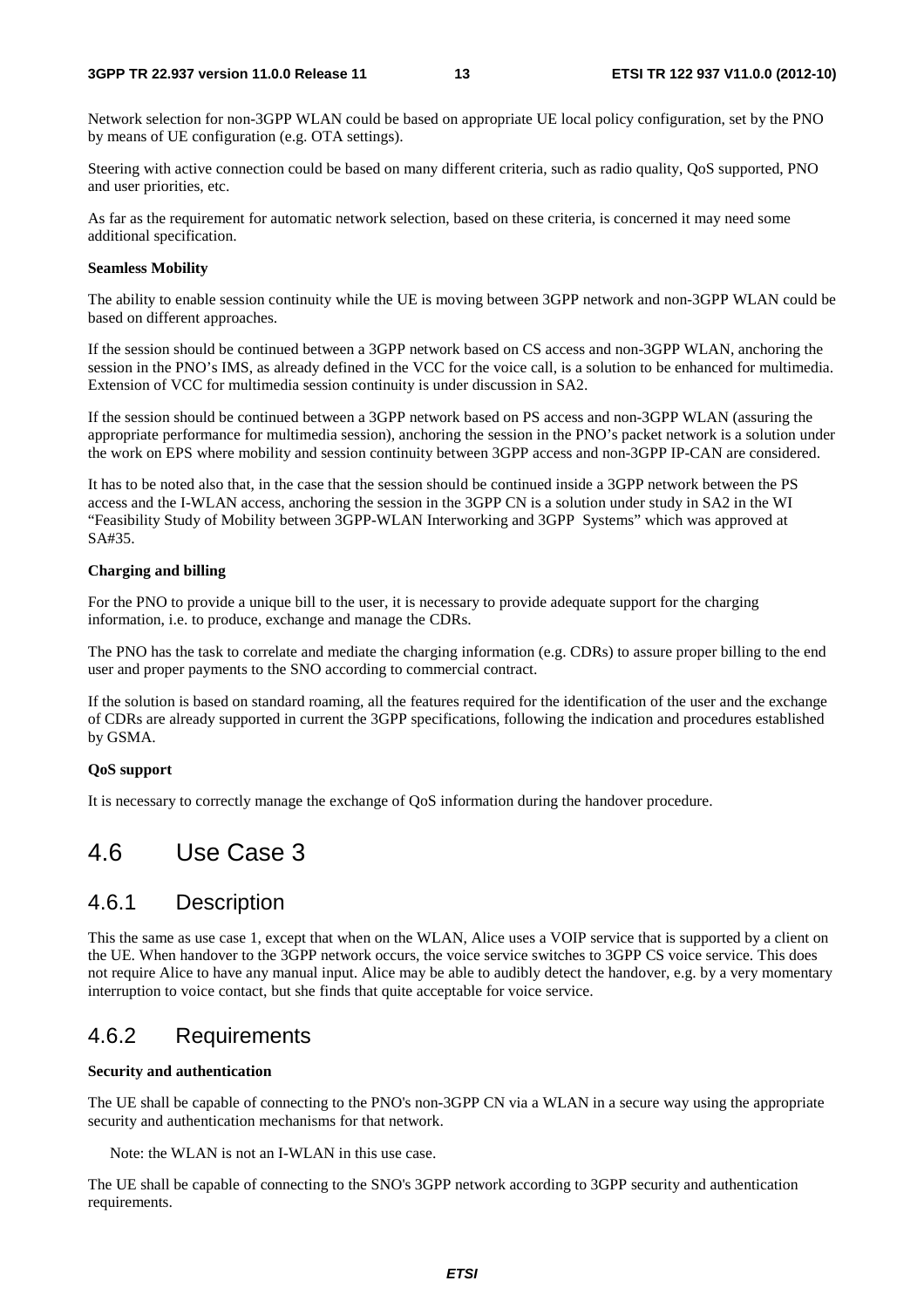Network selection for non-3GPP WLAN could be based on appropriate UE local policy configuration, set by the PNO by means of UE configuration (e.g. OTA settings).

Steering with active connection could be based on many different criteria, such as radio quality, QoS supported, PNO and user priorities, etc.

As far as the requirement for automatic network selection, based on these criteria, is concerned it may need some additional specification.

#### **Seamless Mobility**

The ability to enable session continuity while the UE is moving between 3GPP network and non-3GPP WLAN could be based on different approaches.

If the session should be continued between a 3GPP network based on CS access and non-3GPP WLAN, anchoring the session in the PNO's IMS, as already defined in the VCC for the voice call, is a solution to be enhanced for multimedia. Extension of VCC for multimedia session continuity is under discussion in SA2.

If the session should be continued between a 3GPP network based on PS access and non-3GPP WLAN (assuring the appropriate performance for multimedia session), anchoring the session in the PNO's packet network is a solution under the work on EPS where mobility and session continuity between 3GPP access and non-3GPP IP-CAN are considered.

It has to be noted also that, in the case that the session should be continued inside a 3GPP network between the PS access and the I-WLAN access, anchoring the session in the 3GPP CN is a solution under study in SA2 in the WI "Feasibility Study of Mobility between 3GPP-WLAN Interworking and 3GPP Systems" which was approved at SA#35.

#### **Charging and billing**

For the PNO to provide a unique bill to the user, it is necessary to provide adequate support for the charging information, i.e. to produce, exchange and manage the CDRs.

The PNO has the task to correlate and mediate the charging information (e.g. CDRs) to assure proper billing to the end user and proper payments to the SNO according to commercial contract.

If the solution is based on standard roaming, all the features required for the identification of the user and the exchange of CDRs are already supported in current the 3GPP specifications, following the indication and procedures established by GSMA.

#### **QoS support**

It is necessary to correctly manage the exchange of QoS information during the handover procedure.

### 4.6 Use Case 3

### 4.6.1 Description

This the same as use case 1, except that when on the WLAN, Alice uses a VOIP service that is supported by a client on the UE. When handover to the 3GPP network occurs, the voice service switches to 3GPP CS voice service. This does not require Alice to have any manual input. Alice may be able to audibly detect the handover, e.g. by a very momentary interruption to voice contact, but she finds that quite acceptable for voice service.

### 4.6.2 Requirements

#### **Security and authentication**

The UE shall be capable of connecting to the PNO's non-3GPP CN via a WLAN in a secure way using the appropriate security and authentication mechanisms for that network.

Note: the WLAN is not an I-WLAN in this use case.

The UE shall be capable of connecting to the SNO's 3GPP network according to 3GPP security and authentication requirements.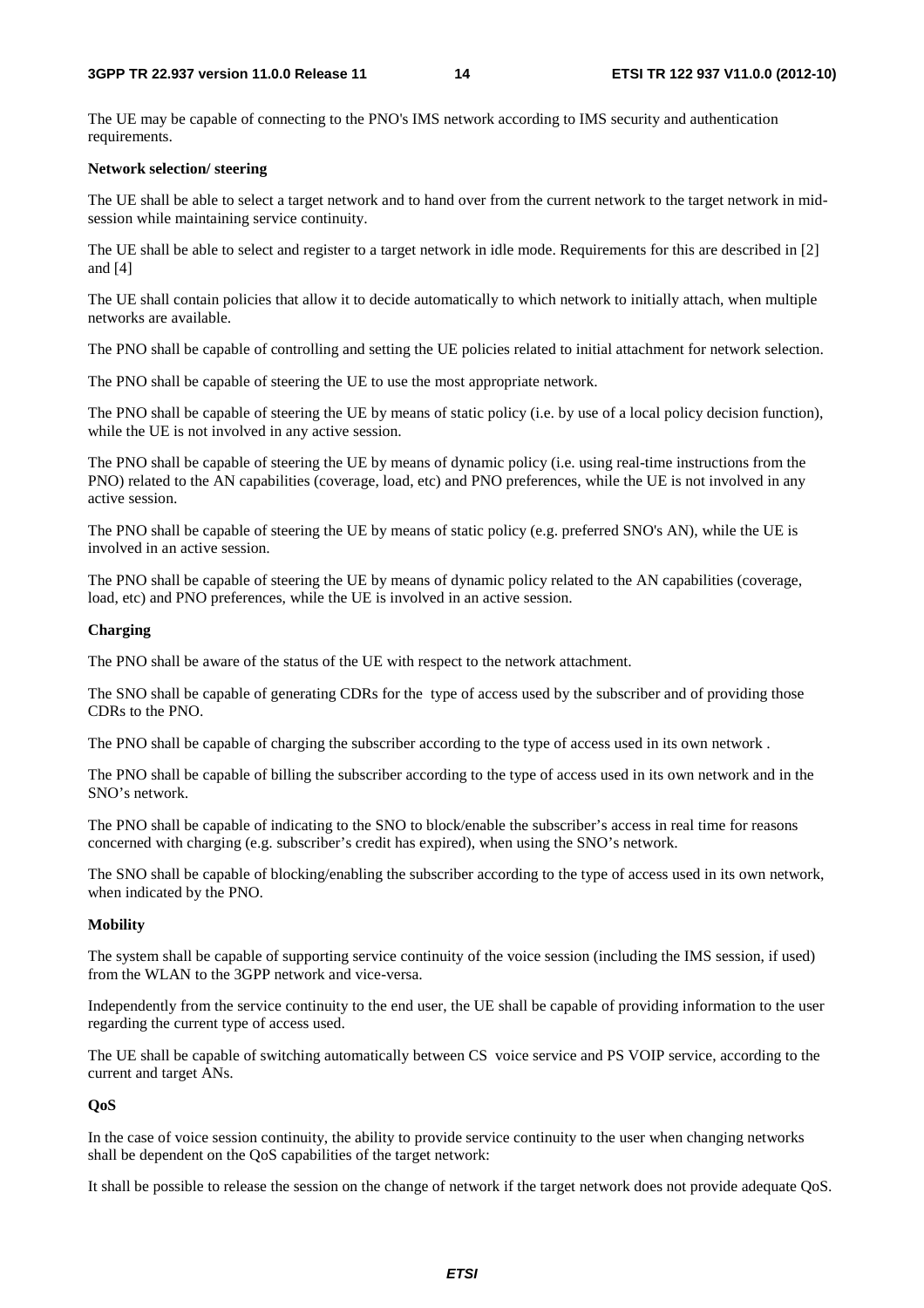The UE may be capable of connecting to the PNO's IMS network according to IMS security and authentication requirements.

#### **Network selection/ steering**

The UE shall be able to select a target network and to hand over from the current network to the target network in midsession while maintaining service continuity.

The UE shall be able to select and register to a target network in idle mode. Requirements for this are described in [2] and [4]

The UE shall contain policies that allow it to decide automatically to which network to initially attach, when multiple networks are available.

The PNO shall be capable of controlling and setting the UE policies related to initial attachment for network selection.

The PNO shall be capable of steering the UE to use the most appropriate network.

The PNO shall be capable of steering the UE by means of static policy (i.e. by use of a local policy decision function), while the UE is not involved in any active session.

The PNO shall be capable of steering the UE by means of dynamic policy (i.e. using real-time instructions from the PNO) related to the AN capabilities (coverage, load, etc) and PNO preferences, while the UE is not involved in any active session.

The PNO shall be capable of steering the UE by means of static policy (e.g. preferred SNO's AN), while the UE is involved in an active session.

The PNO shall be capable of steering the UE by means of dynamic policy related to the AN capabilities (coverage, load, etc) and PNO preferences, while the UE is involved in an active session.

#### **Charging**

The PNO shall be aware of the status of the UE with respect to the network attachment.

The SNO shall be capable of generating CDRs for the type of access used by the subscriber and of providing those CDRs to the PNO.

The PNO shall be capable of charging the subscriber according to the type of access used in its own network .

The PNO shall be capable of billing the subscriber according to the type of access used in its own network and in the SNO's network.

The PNO shall be capable of indicating to the SNO to block/enable the subscriber's access in real time for reasons concerned with charging (e.g. subscriber's credit has expired), when using the SNO's network.

The SNO shall be capable of blocking/enabling the subscriber according to the type of access used in its own network, when indicated by the PNO.

#### **Mobility**

The system shall be capable of supporting service continuity of the voice session (including the IMS session, if used) from the WLAN to the 3GPP network and vice-versa.

Independently from the service continuity to the end user, the UE shall be capable of providing information to the user regarding the current type of access used.

The UE shall be capable of switching automatically between CS voice service and PS VOIP service, according to the current and target ANs.

#### **QoS**

In the case of voice session continuity, the ability to provide service continuity to the user when changing networks shall be dependent on the QoS capabilities of the target network:

It shall be possible to release the session on the change of network if the target network does not provide adequate QoS.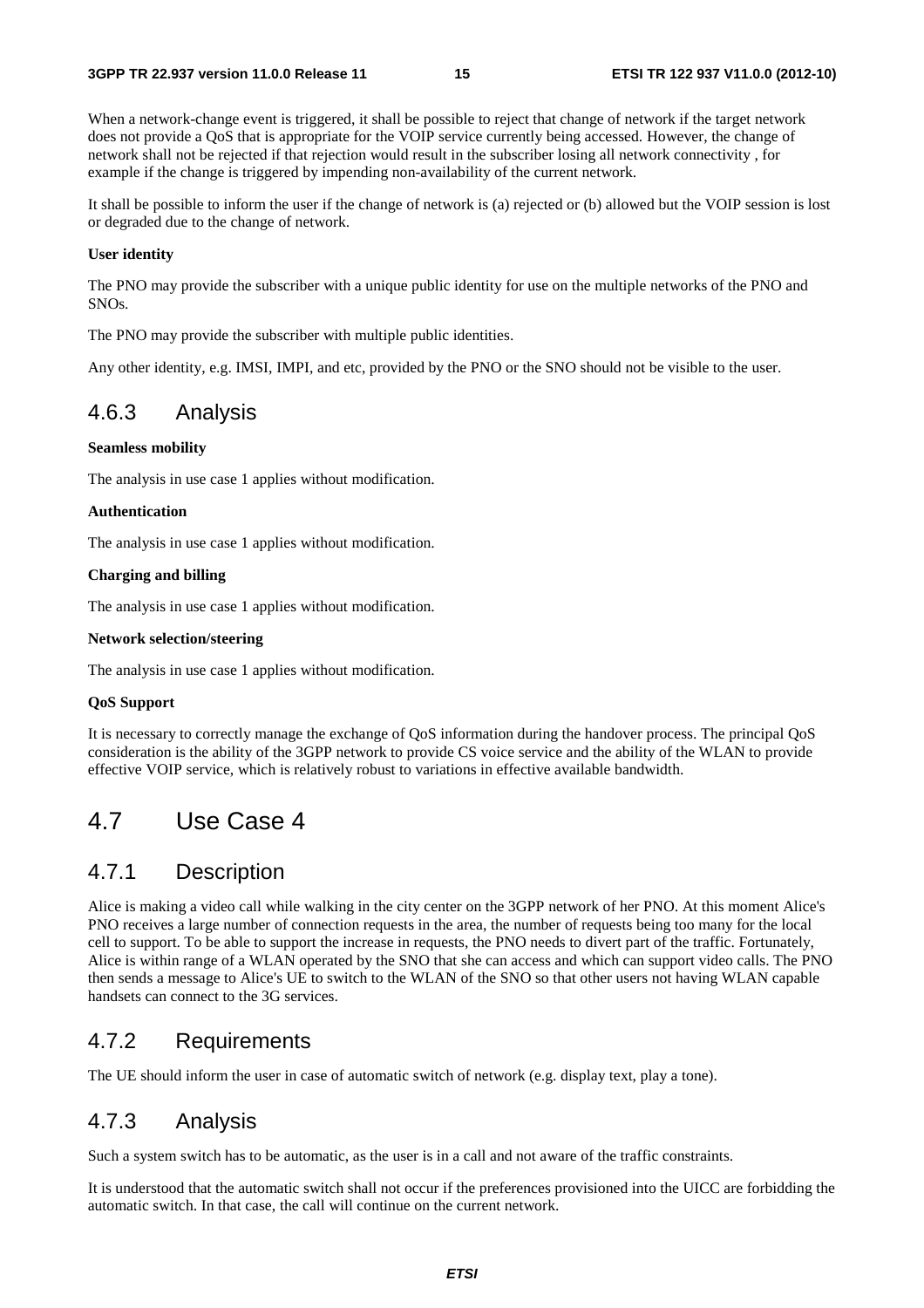When a network-change event is triggered, it shall be possible to reject that change of network if the target network does not provide a QoS that is appropriate for the VOIP service currently being accessed. However, the change of network shall not be rejected if that rejection would result in the subscriber losing all network connectivity , for example if the change is triggered by impending non-availability of the current network.

It shall be possible to inform the user if the change of network is (a) rejected or (b) allowed but the VOIP session is lost or degraded due to the change of network.

#### **User identity**

The PNO may provide the subscriber with a unique public identity for use on the multiple networks of the PNO and SNOs.

The PNO may provide the subscriber with multiple public identities.

Any other identity, e.g. IMSI, IMPI, and etc, provided by the PNO or the SNO should not be visible to the user.

### 4.6.3 Analysis

#### **Seamless mobility**

The analysis in use case 1 applies without modification.

#### **Authentication**

The analysis in use case 1 applies without modification.

#### **Charging and billing**

The analysis in use case 1 applies without modification.

#### **Network selection/steering**

The analysis in use case 1 applies without modification.

#### **QoS Support**

It is necessary to correctly manage the exchange of QoS information during the handover process. The principal QoS consideration is the ability of the 3GPP network to provide CS voice service and the ability of the WLAN to provide effective VOIP service, which is relatively robust to variations in effective available bandwidth.

### 4.7 Use Case 4

### 4.7.1 Description

Alice is making a video call while walking in the city center on the 3GPP network of her PNO. At this moment Alice's PNO receives a large number of connection requests in the area, the number of requests being too many for the local cell to support. To be able to support the increase in requests, the PNO needs to divert part of the traffic. Fortunately, Alice is within range of a WLAN operated by the SNO that she can access and which can support video calls. The PNO then sends a message to Alice's UE to switch to the WLAN of the SNO so that other users not having WLAN capable handsets can connect to the 3G services.

### 4.7.2 Requirements

The UE should inform the user in case of automatic switch of network (e.g. display text, play a tone).

### 4.7.3 Analysis

Such a system switch has to be automatic, as the user is in a call and not aware of the traffic constraints.

It is understood that the automatic switch shall not occur if the preferences provisioned into the UICC are forbidding the automatic switch. In that case, the call will continue on the current network.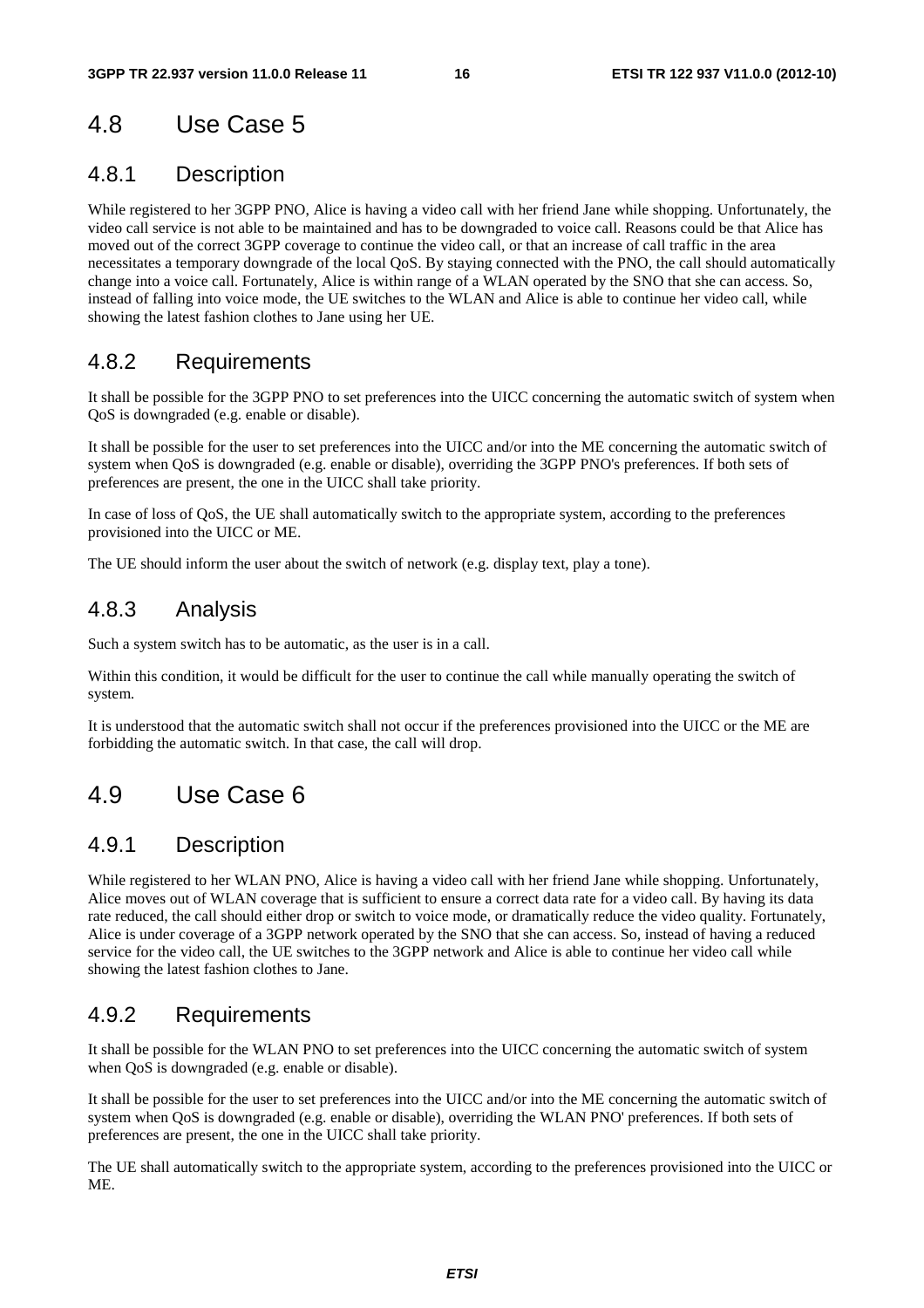## 4.8 Use Case 5

### 4.8.1 Description

While registered to her 3GPP PNO, Alice is having a video call with her friend Jane while shopping. Unfortunately, the video call service is not able to be maintained and has to be downgraded to voice call. Reasons could be that Alice has moved out of the correct 3GPP coverage to continue the video call, or that an increase of call traffic in the area necessitates a temporary downgrade of the local QoS. By staying connected with the PNO, the call should automatically change into a voice call. Fortunately, Alice is within range of a WLAN operated by the SNO that she can access. So, instead of falling into voice mode, the UE switches to the WLAN and Alice is able to continue her video call, while showing the latest fashion clothes to Jane using her UE.

### 4.8.2 Requirements

It shall be possible for the 3GPP PNO to set preferences into the UICC concerning the automatic switch of system when QoS is downgraded (e.g. enable or disable).

It shall be possible for the user to set preferences into the UICC and/or into the ME concerning the automatic switch of system when QoS is downgraded (e.g. enable or disable), overriding the 3GPP PNO's preferences. If both sets of preferences are present, the one in the UICC shall take priority.

In case of loss of QoS, the UE shall automatically switch to the appropriate system, according to the preferences provisioned into the UICC or ME.

The UE should inform the user about the switch of network (e.g. display text, play a tone).

### 4.8.3 Analysis

Such a system switch has to be automatic, as the user is in a call.

Within this condition, it would be difficult for the user to continue the call while manually operating the switch of system.

It is understood that the automatic switch shall not occur if the preferences provisioned into the UICC or the ME are forbidding the automatic switch. In that case, the call will drop.

## 4.9 Use Case 6

### 4.9.1 Description

While registered to her WLAN PNO, Alice is having a video call with her friend Jane while shopping. Unfortunately, Alice moves out of WLAN coverage that is sufficient to ensure a correct data rate for a video call. By having its data rate reduced, the call should either drop or switch to voice mode, or dramatically reduce the video quality. Fortunately, Alice is under coverage of a 3GPP network operated by the SNO that she can access. So, instead of having a reduced service for the video call, the UE switches to the 3GPP network and Alice is able to continue her video call while showing the latest fashion clothes to Jane.

### 4.9.2 Requirements

It shall be possible for the WLAN PNO to set preferences into the UICC concerning the automatic switch of system when QoS is downgraded (e.g. enable or disable).

It shall be possible for the user to set preferences into the UICC and/or into the ME concerning the automatic switch of system when QoS is downgraded (e.g. enable or disable), overriding the WLAN PNO' preferences. If both sets of preferences are present, the one in the UICC shall take priority.

The UE shall automatically switch to the appropriate system, according to the preferences provisioned into the UICC or ME.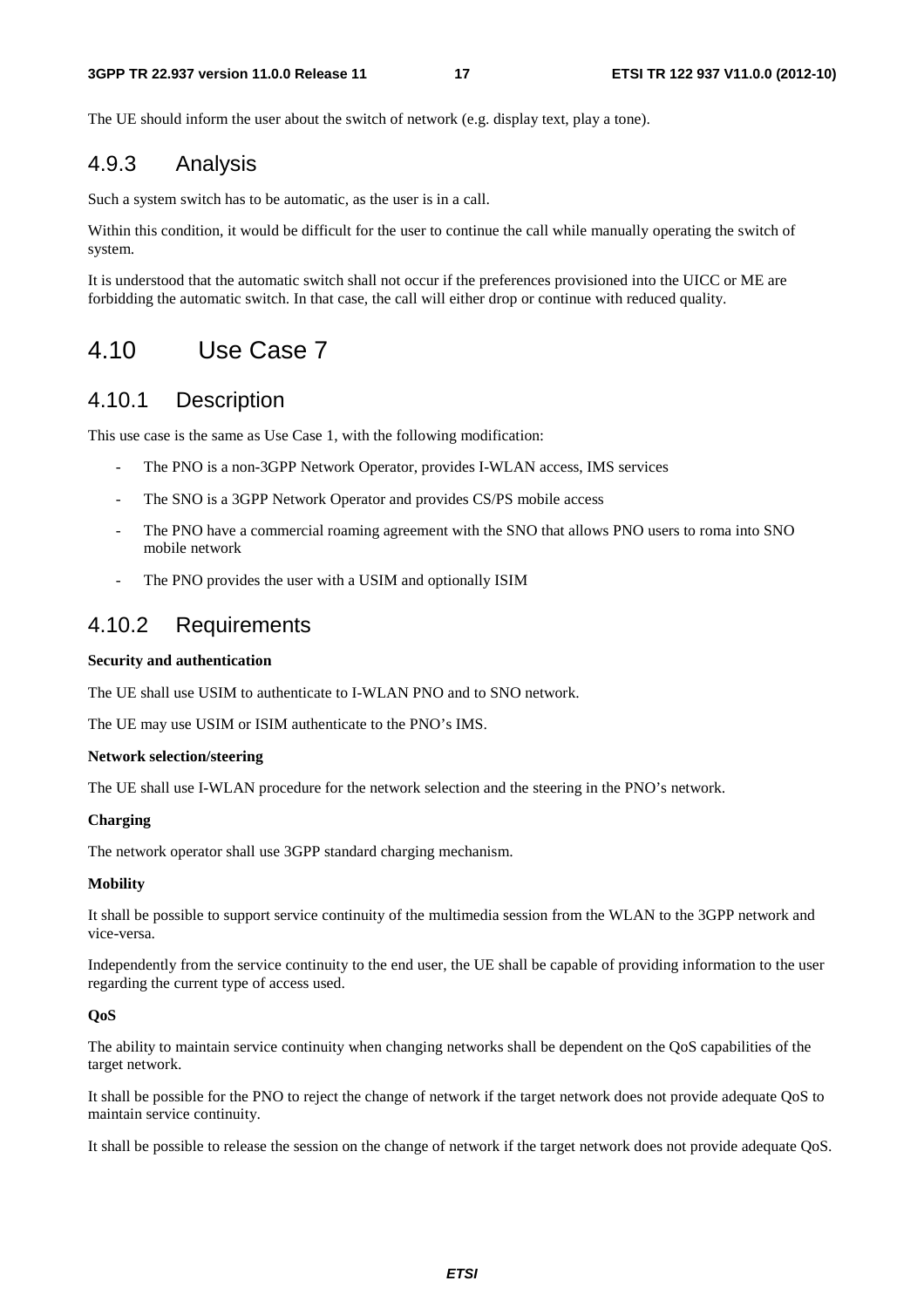The UE should inform the user about the switch of network (e.g. display text, play a tone).

### 4.9.3 Analysis

Such a system switch has to be automatic, as the user is in a call.

Within this condition, it would be difficult for the user to continue the call while manually operating the switch of system.

It is understood that the automatic switch shall not occur if the preferences provisioned into the UICC or ME are forbidding the automatic switch. In that case, the call will either drop or continue with reduced quality.

### 4.10 Use Case 7

### 4.10.1 Description

This use case is the same as Use Case 1, with the following modification:

- The PNO is a non-3GPP Network Operator, provides I-WLAN access, IMS services
- The SNO is a 3GPP Network Operator and provides CS/PS mobile access
- The PNO have a commercial roaming agreement with the SNO that allows PNO users to roma into SNO mobile network
- The PNO provides the user with a USIM and optionally ISIM

### 4.10.2 Requirements

#### **Security and authentication**

The UE shall use USIM to authenticate to I-WLAN PNO and to SNO network.

The UE may use USIM or ISIM authenticate to the PNO's IMS.

#### **Network selection/steering**

The UE shall use I-WLAN procedure for the network selection and the steering in the PNO's network.

#### **Charging**

The network operator shall use 3GPP standard charging mechanism.

#### **Mobility**

It shall be possible to support service continuity of the multimedia session from the WLAN to the 3GPP network and vice-versa.

Independently from the service continuity to the end user, the UE shall be capable of providing information to the user regarding the current type of access used.

#### **QoS**

The ability to maintain service continuity when changing networks shall be dependent on the QoS capabilities of the target network.

It shall be possible for the PNO to reject the change of network if the target network does not provide adequate QoS to maintain service continuity.

It shall be possible to release the session on the change of network if the target network does not provide adequate QoS.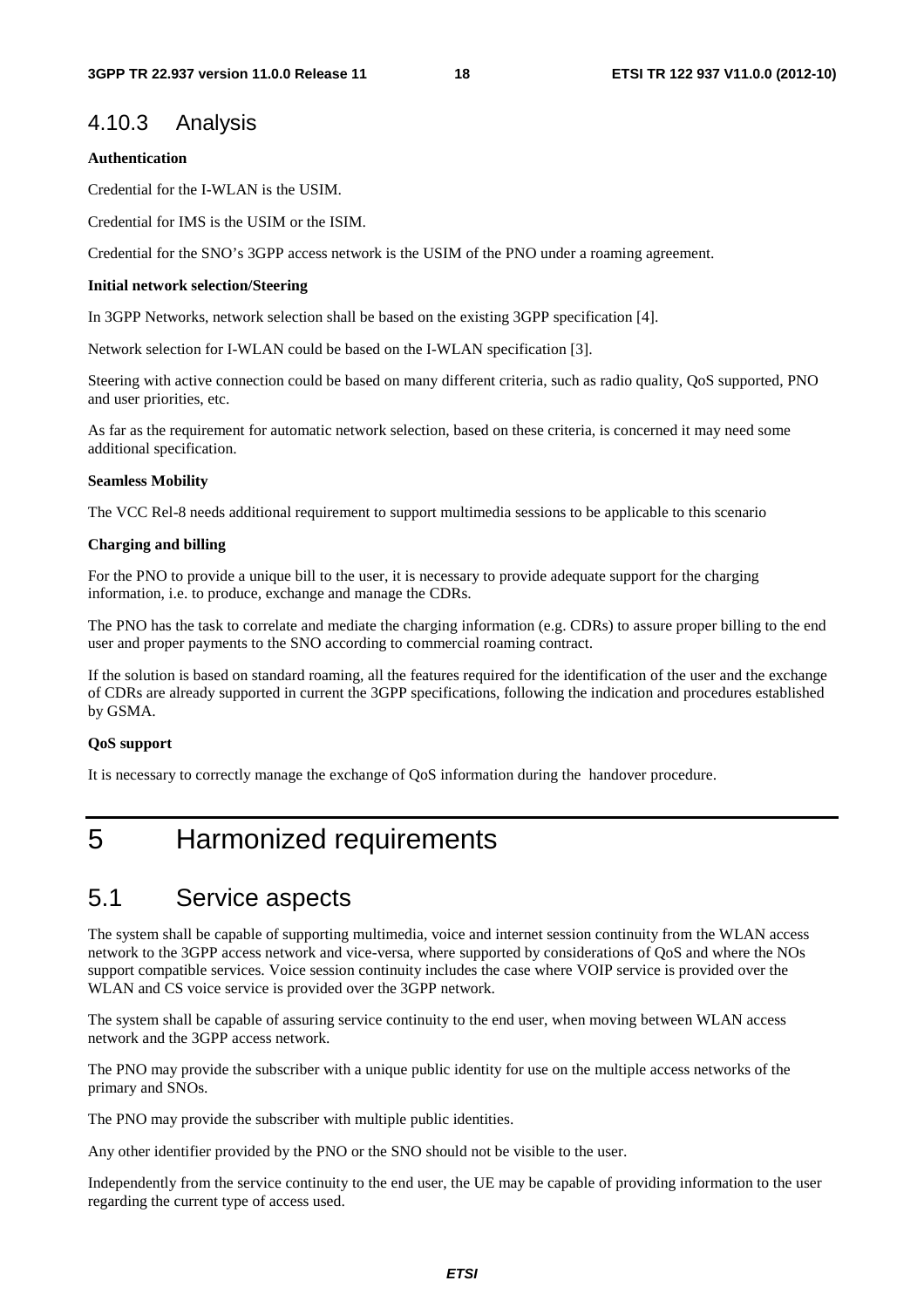### 4.10.3 Analysis

#### **Authentication**

Credential for the I-WLAN is the USIM.

Credential for IMS is the USIM or the ISIM.

Credential for the SNO's 3GPP access network is the USIM of the PNO under a roaming agreement.

#### **Initial network selection/Steering**

In 3GPP Networks, network selection shall be based on the existing 3GPP specification [4].

Network selection for I-WLAN could be based on the I-WLAN specification [3].

Steering with active connection could be based on many different criteria, such as radio quality, QoS supported, PNO and user priorities, etc.

As far as the requirement for automatic network selection, based on these criteria, is concerned it may need some additional specification.

#### **Seamless Mobility**

The VCC Rel-8 needs additional requirement to support multimedia sessions to be applicable to this scenario

#### **Charging and billing**

For the PNO to provide a unique bill to the user, it is necessary to provide adequate support for the charging information, i.e. to produce, exchange and manage the CDRs.

The PNO has the task to correlate and mediate the charging information (e.g. CDRs) to assure proper billing to the end user and proper payments to the SNO according to commercial roaming contract.

If the solution is based on standard roaming, all the features required for the identification of the user and the exchange of CDRs are already supported in current the 3GPP specifications, following the indication and procedures established by GSMA.

#### **QoS support**

It is necessary to correctly manage the exchange of QoS information during the handover procedure.

## 5 Harmonized requirements

### 5.1 Service aspects

The system shall be capable of supporting multimedia, voice and internet session continuity from the WLAN access network to the 3GPP access network and vice-versa, where supported by considerations of QoS and where the NOs support compatible services. Voice session continuity includes the case where VOIP service is provided over the WLAN and CS voice service is provided over the 3GPP network.

The system shall be capable of assuring service continuity to the end user, when moving between WLAN access network and the 3GPP access network.

The PNO may provide the subscriber with a unique public identity for use on the multiple access networks of the primary and SNOs.

The PNO may provide the subscriber with multiple public identities.

Any other identifier provided by the PNO or the SNO should not be visible to the user.

Independently from the service continuity to the end user, the UE may be capable of providing information to the user regarding the current type of access used.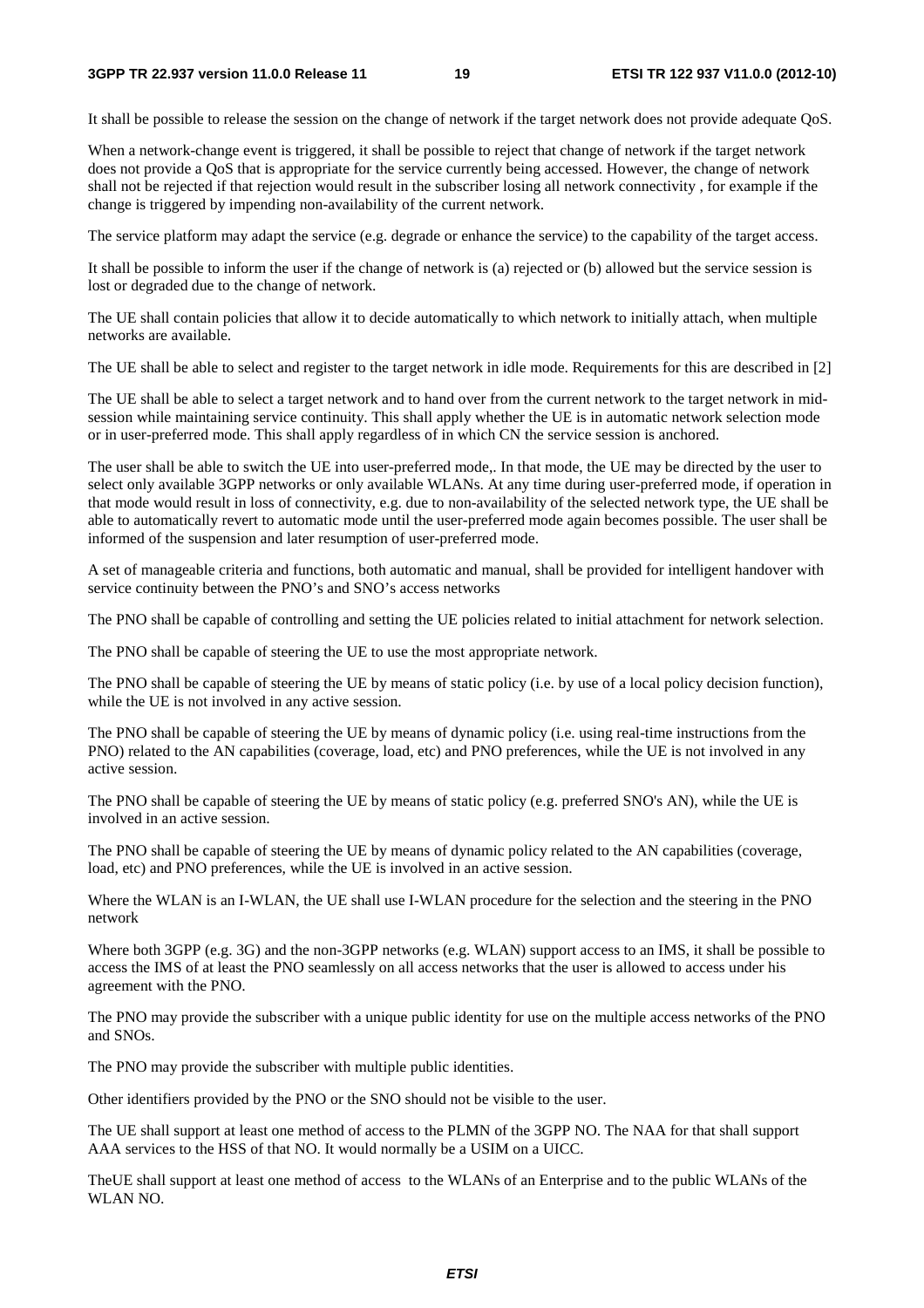It shall be possible to release the session on the change of network if the target network does not provide adequate QoS.

When a network-change event is triggered, it shall be possible to reject that change of network if the target network does not provide a QoS that is appropriate for the service currently being accessed. However, the change of network shall not be rejected if that rejection would result in the subscriber losing all network connectivity , for example if the change is triggered by impending non-availability of the current network.

The service platform may adapt the service (e.g. degrade or enhance the service) to the capability of the target access.

It shall be possible to inform the user if the change of network is (a) rejected or (b) allowed but the service session is lost or degraded due to the change of network.

The UE shall contain policies that allow it to decide automatically to which network to initially attach, when multiple networks are available.

The UE shall be able to select and register to the target network in idle mode. Requirements for this are described in [2]

The UE shall be able to select a target network and to hand over from the current network to the target network in midsession while maintaining service continuity. This shall apply whether the UE is in automatic network selection mode or in user-preferred mode. This shall apply regardless of in which CN the service session is anchored.

The user shall be able to switch the UE into user-preferred mode,. In that mode, the UE may be directed by the user to select only available 3GPP networks or only available WLANs. At any time during user-preferred mode, if operation in that mode would result in loss of connectivity, e.g. due to non-availability of the selected network type, the UE shall be able to automatically revert to automatic mode until the user-preferred mode again becomes possible. The user shall be informed of the suspension and later resumption of user-preferred mode.

A set of manageable criteria and functions, both automatic and manual, shall be provided for intelligent handover with service continuity between the PNO's and SNO's access networks

The PNO shall be capable of controlling and setting the UE policies related to initial attachment for network selection.

The PNO shall be capable of steering the UE to use the most appropriate network.

The PNO shall be capable of steering the UE by means of static policy (i.e. by use of a local policy decision function), while the UE is not involved in any active session.

The PNO shall be capable of steering the UE by means of dynamic policy (i.e. using real-time instructions from the PNO) related to the AN capabilities (coverage, load, etc) and PNO preferences, while the UE is not involved in any active session.

The PNO shall be capable of steering the UE by means of static policy (e.g. preferred SNO's AN), while the UE is involved in an active session.

The PNO shall be capable of steering the UE by means of dynamic policy related to the AN capabilities (coverage, load, etc) and PNO preferences, while the UE is involved in an active session.

Where the WLAN is an I-WLAN, the UE shall use I-WLAN procedure for the selection and the steering in the PNO network

Where both 3GPP (e.g. 3G) and the non-3GPP networks (e.g. WLAN) support access to an IMS, it shall be possible to access the IMS of at least the PNO seamlessly on all access networks that the user is allowed to access under his agreement with the PNO.

The PNO may provide the subscriber with a unique public identity for use on the multiple access networks of the PNO and SNOs.

The PNO may provide the subscriber with multiple public identities.

Other identifiers provided by the PNO or the SNO should not be visible to the user.

The UE shall support at least one method of access to the PLMN of the 3GPP NO. The NAA for that shall support AAA services to the HSS of that NO. It would normally be a USIM on a UICC.

TheUE shall support at least one method of access to the WLANs of an Enterprise and to the public WLANs of the WLAN NO.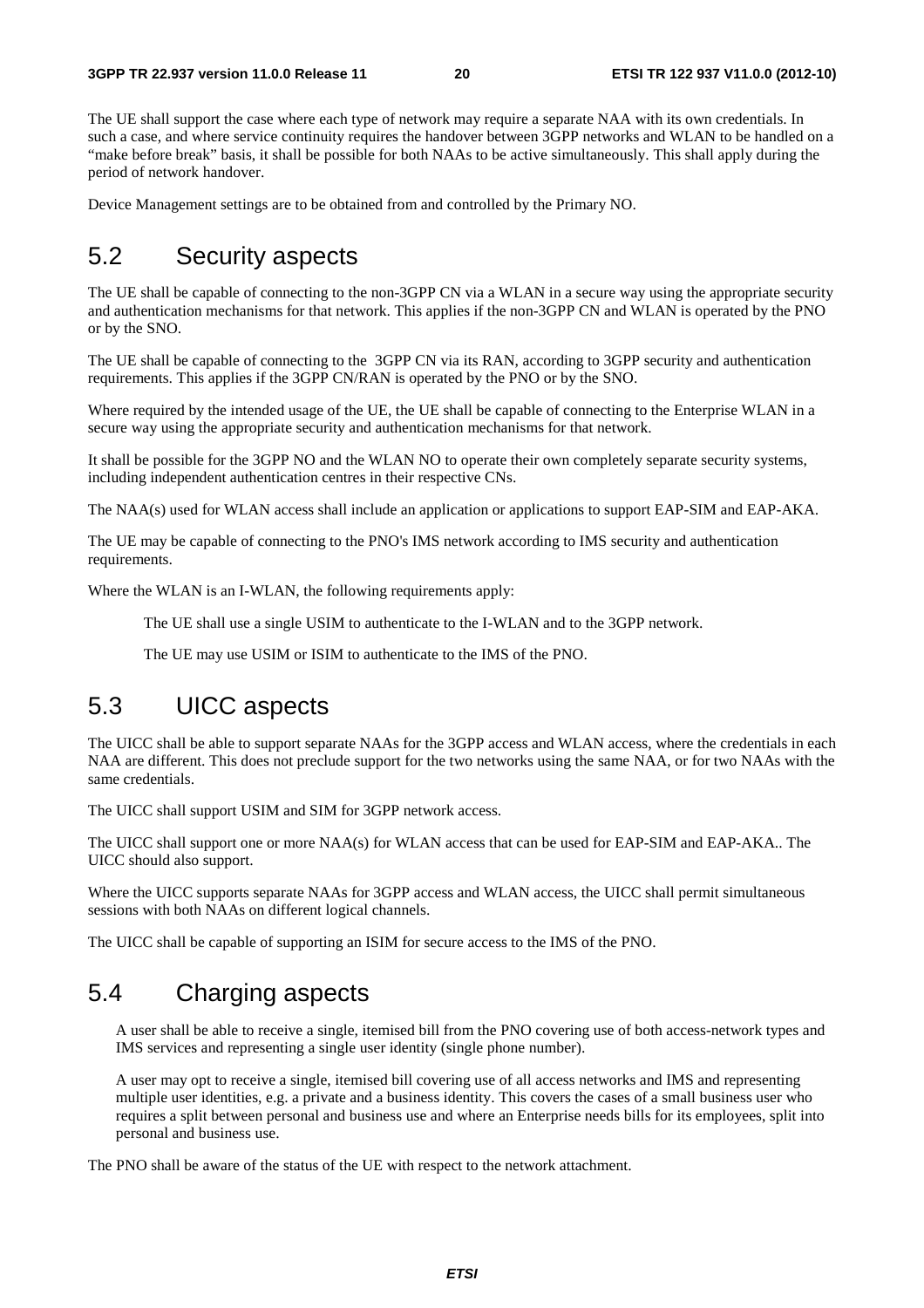The UE shall support the case where each type of network may require a separate NAA with its own credentials. In such a case, and where service continuity requires the handover between 3GPP networks and WLAN to be handled on a "make before break" basis, it shall be possible for both NAAs to be active simultaneously. This shall apply during the period of network handover.

Device Management settings are to be obtained from and controlled by the Primary NO.

### 5.2 Security aspects

The UE shall be capable of connecting to the non-3GPP CN via a WLAN in a secure way using the appropriate security and authentication mechanisms for that network. This applies if the non-3GPP CN and WLAN is operated by the PNO or by the SNO.

The UE shall be capable of connecting to the 3GPP CN via its RAN, according to 3GPP security and authentication requirements. This applies if the 3GPP CN/RAN is operated by the PNO or by the SNO.

Where required by the intended usage of the UE, the UE shall be capable of connecting to the Enterprise WLAN in a secure way using the appropriate security and authentication mechanisms for that network.

It shall be possible for the 3GPP NO and the WLAN NO to operate their own completely separate security systems, including independent authentication centres in their respective CNs.

The NAA(s) used for WLAN access shall include an application or applications to support EAP-SIM and EAP-AKA.

The UE may be capable of connecting to the PNO's IMS network according to IMS security and authentication requirements.

Where the WLAN is an I-WLAN, the following requirements apply:

The UE shall use a single USIM to authenticate to the I-WLAN and to the 3GPP network.

The UE may use USIM or ISIM to authenticate to the IMS of the PNO.

## 5.3 UICC aspects

The UICC shall be able to support separate NAAs for the 3GPP access and WLAN access, where the credentials in each NAA are different. This does not preclude support for the two networks using the same NAA, or for two NAAs with the same credentials.

The UICC shall support USIM and SIM for 3GPP network access.

The UICC shall support one or more NAA(s) for WLAN access that can be used for EAP-SIM and EAP-AKA.. The UICC should also support.

Where the UICC supports separate NAAs for 3GPP access and WLAN access, the UICC shall permit simultaneous sessions with both NAAs on different logical channels.

The UICC shall be capable of supporting an ISIM for secure access to the IMS of the PNO.

## 5.4 Charging aspects

A user shall be able to receive a single, itemised bill from the PNO covering use of both access-network types and IMS services and representing a single user identity (single phone number).

A user may opt to receive a single, itemised bill covering use of all access networks and IMS and representing multiple user identities, e.g. a private and a business identity. This covers the cases of a small business user who requires a split between personal and business use and where an Enterprise needs bills for its employees, split into personal and business use.

The PNO shall be aware of the status of the UE with respect to the network attachment.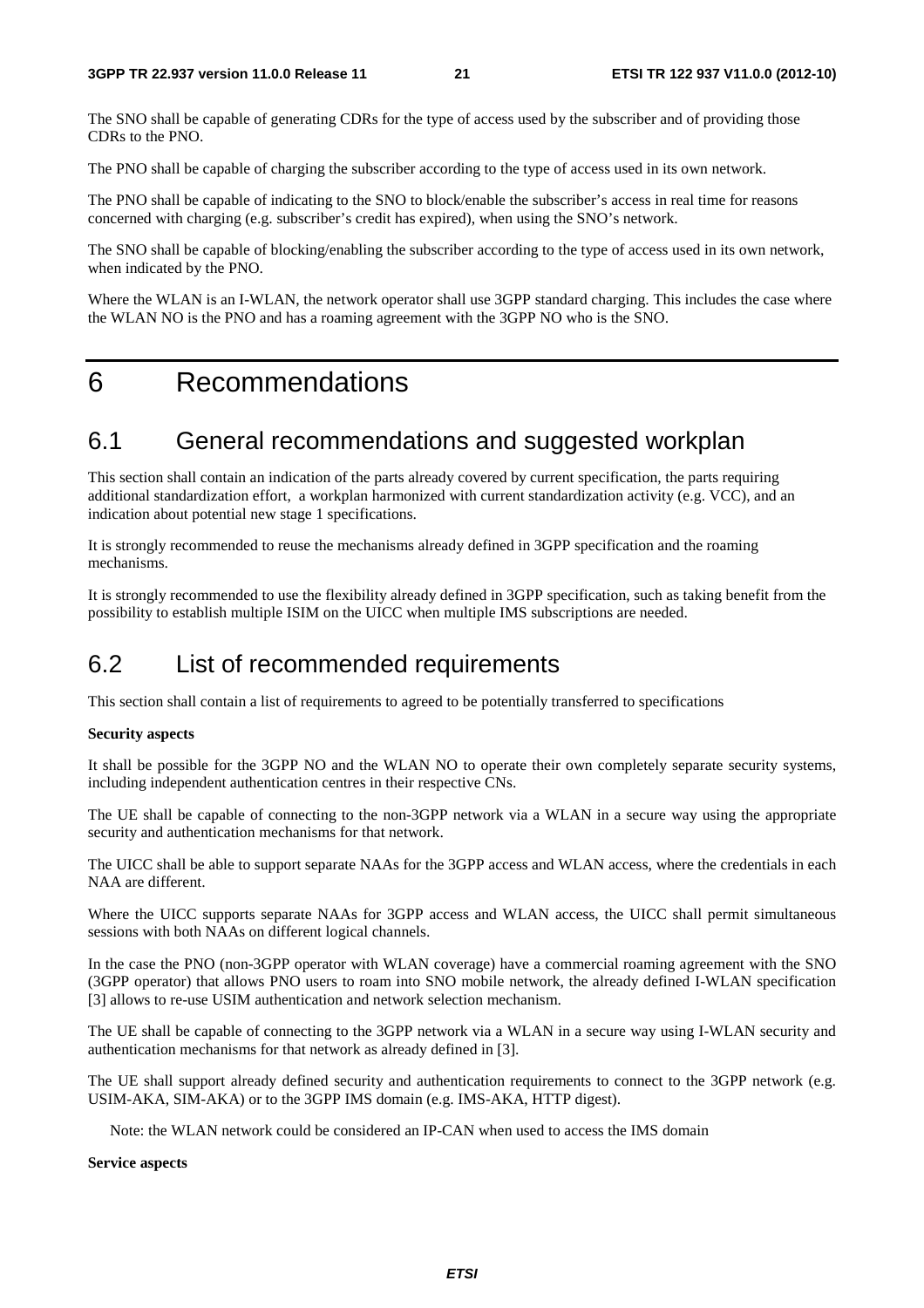The SNO shall be capable of generating CDRs for the type of access used by the subscriber and of providing those CDRs to the PNO.

The PNO shall be capable of charging the subscriber according to the type of access used in its own network.

The PNO shall be capable of indicating to the SNO to block/enable the subscriber's access in real time for reasons concerned with charging (e.g. subscriber's credit has expired), when using the SNO's network.

The SNO shall be capable of blocking/enabling the subscriber according to the type of access used in its own network, when indicated by the PNO.

Where the WLAN is an I-WLAN, the network operator shall use 3GPP standard charging. This includes the case where the WLAN NO is the PNO and has a roaming agreement with the 3GPP NO who is the SNO.

## 6 Recommendations

## 6.1 General recommendations and suggested workplan

This section shall contain an indication of the parts already covered by current specification, the parts requiring additional standardization effort, a workplan harmonized with current standardization activity (e.g. VCC), and an indication about potential new stage 1 specifications.

It is strongly recommended to reuse the mechanisms already defined in 3GPP specification and the roaming mechanisms.

It is strongly recommended to use the flexibility already defined in 3GPP specification, such as taking benefit from the possibility to establish multiple ISIM on the UICC when multiple IMS subscriptions are needed.

## 6.2 List of recommended requirements

This section shall contain a list of requirements to agreed to be potentially transferred to specifications

### **Security aspects**

It shall be possible for the 3GPP NO and the WLAN NO to operate their own completely separate security systems, including independent authentication centres in their respective CNs.

The UE shall be capable of connecting to the non-3GPP network via a WLAN in a secure way using the appropriate security and authentication mechanisms for that network.

The UICC shall be able to support separate NAAs for the 3GPP access and WLAN access, where the credentials in each NAA are different.

Where the UICC supports separate NAAs for 3GPP access and WLAN access, the UICC shall permit simultaneous sessions with both NAAs on different logical channels.

In the case the PNO (non-3GPP operator with WLAN coverage) have a commercial roaming agreement with the SNO (3GPP operator) that allows PNO users to roam into SNO mobile network, the already defined I-WLAN specification [3] allows to re-use USIM authentication and network selection mechanism.

The UE shall be capable of connecting to the 3GPP network via a WLAN in a secure way using I-WLAN security and authentication mechanisms for that network as already defined in [3].

The UE shall support already defined security and authentication requirements to connect to the 3GPP network (e.g. USIM-AKA, SIM-AKA) or to the 3GPP IMS domain (e.g. IMS-AKA, HTTP digest).

Note: the WLAN network could be considered an IP-CAN when used to access the IMS domain

**Service aspects**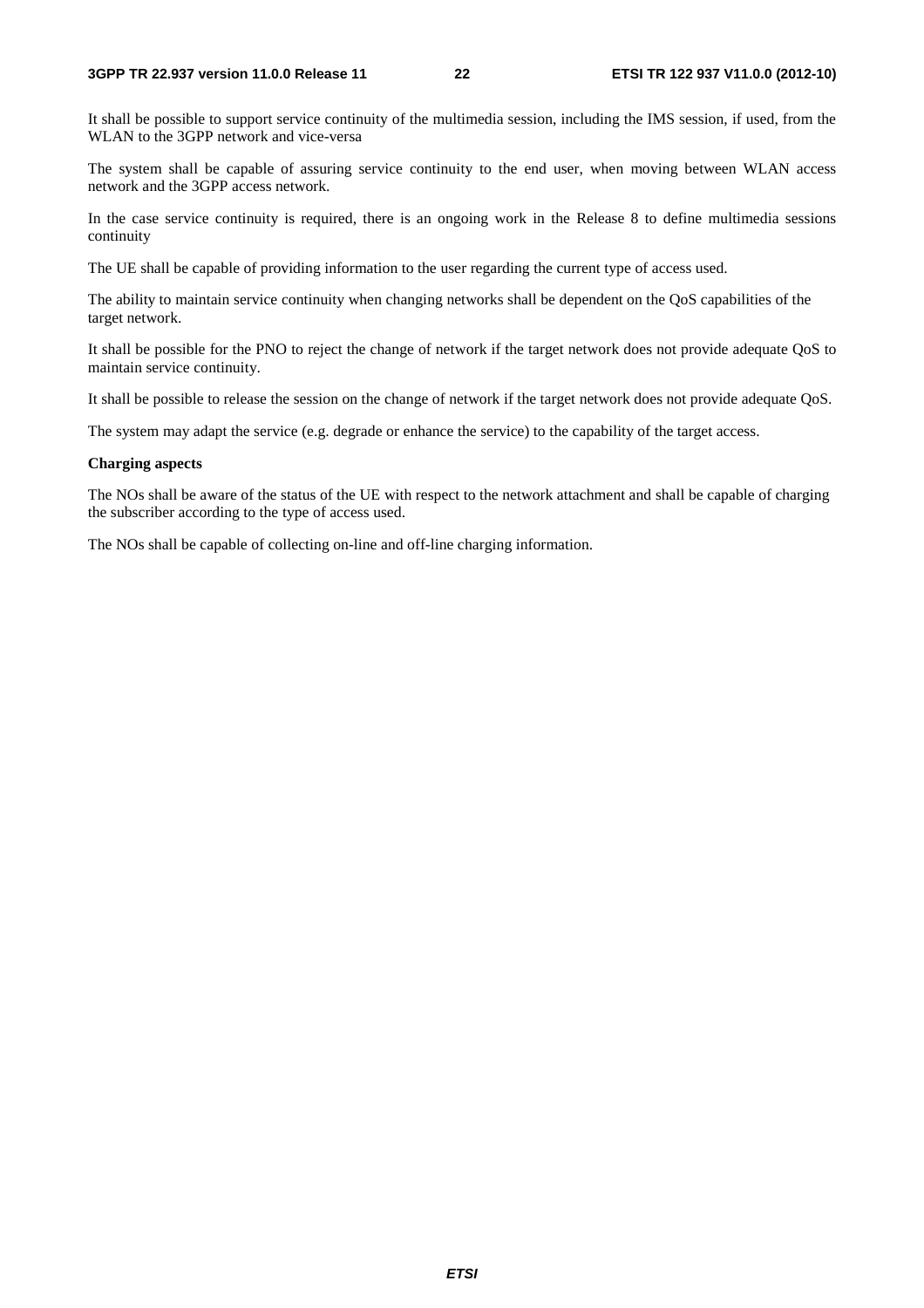#### **3GPP TR 22.937 version 11.0.0 Release 11 22 ETSI TR 122 937 V11.0.0 (2012-10)**

It shall be possible to support service continuity of the multimedia session, including the IMS session, if used, from the WLAN to the 3GPP network and vice-versa

The system shall be capable of assuring service continuity to the end user, when moving between WLAN access network and the 3GPP access network.

In the case service continuity is required, there is an ongoing work in the Release 8 to define multimedia sessions continuity

The UE shall be capable of providing information to the user regarding the current type of access used.

The ability to maintain service continuity when changing networks shall be dependent on the QoS capabilities of the target network.

It shall be possible for the PNO to reject the change of network if the target network does not provide adequate QoS to maintain service continuity.

It shall be possible to release the session on the change of network if the target network does not provide adequate QoS.

The system may adapt the service (e.g. degrade or enhance the service) to the capability of the target access.

#### **Charging aspects**

The NOs shall be aware of the status of the UE with respect to the network attachment and shall be capable of charging the subscriber according to the type of access used.

The NOs shall be capable of collecting on-line and off-line charging information.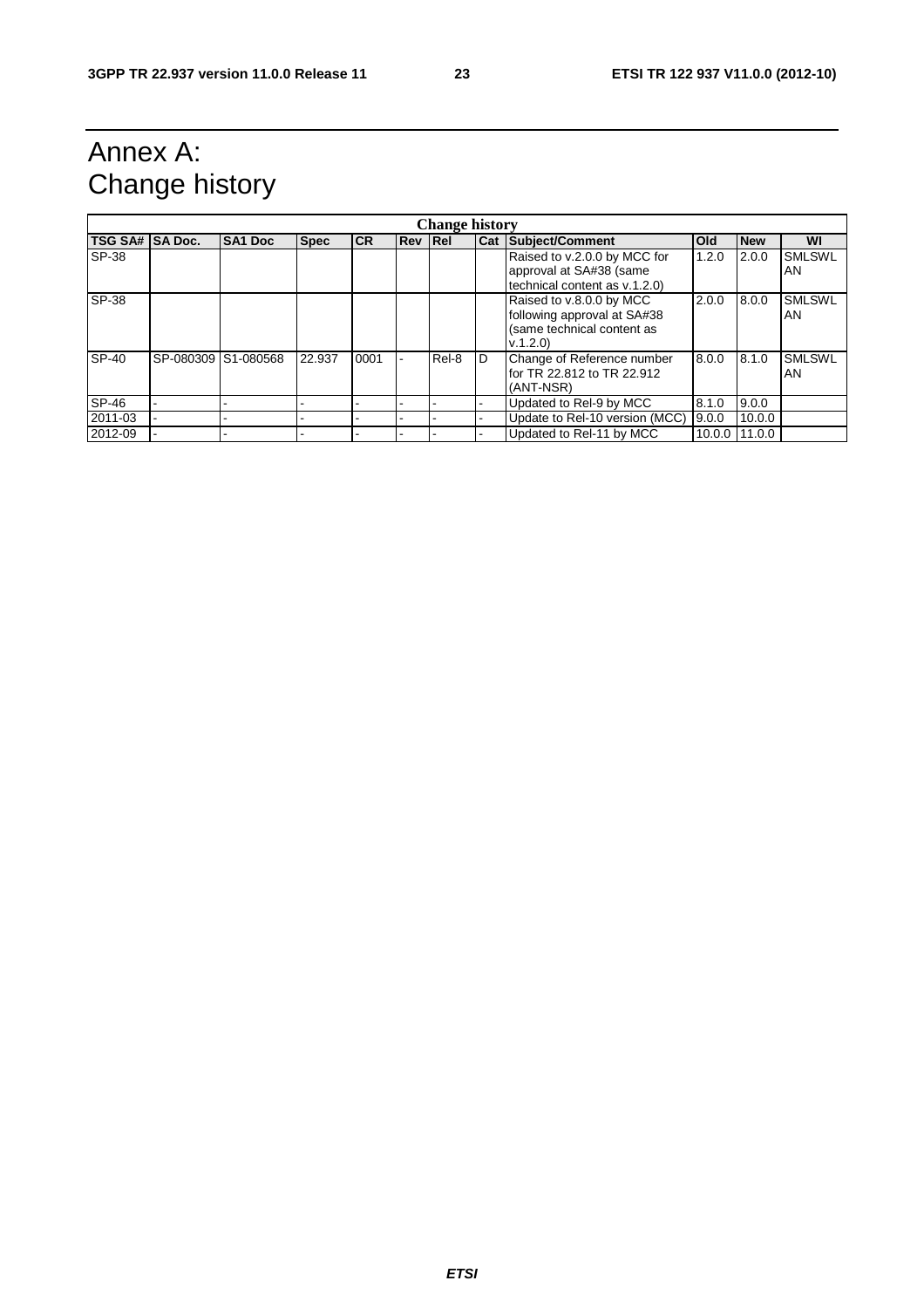## Annex A: Change history

| <b>Change history</b> |                     |                |             |           |                |       |   |                                                                                                   |               |            |                     |
|-----------------------|---------------------|----------------|-------------|-----------|----------------|-------|---|---------------------------------------------------------------------------------------------------|---------------|------------|---------------------|
| TSG SA# SA Doc.       |                     | <b>SA1 Doc</b> | <b>Spec</b> | <b>CR</b> | <b>Rev Rel</b> |       |   | Cat Subject/Comment                                                                               | <b>Old</b>    | <b>New</b> | WI                  |
| SP-38                 |                     |                |             |           |                |       |   | Raised to v.2.0.0 by MCC for<br>approval at SA#38 (same<br>technical content as v.1.2.0)          | 1.2.0         | 2.0.0      | <b>SMLSWL</b><br>AN |
| SP-38                 |                     |                |             |           |                |       |   | Raised to v.8.0.0 by MCC<br>following approval at SA#38<br>(same technical content as<br>V.1.2.0) | 2.0.0         | 8.0.0      | <b>SMLSWL</b><br>AN |
| SP-40                 | SP-080309 S1-080568 |                | 22.937      | 0001      |                | Rel-8 | D | Change of Reference number<br>for TR 22.812 to TR 22.912<br>(ANT-NSR)                             | 8.0.0         | 8.1.0      | <b>SMLSWL</b><br>AN |
| SP-46                 |                     |                |             |           |                |       |   | Updated to Rel-9 by MCC                                                                           | 8.1.0         | 9.0.0      |                     |
| 2011-03               |                     |                |             |           |                |       |   | Update to Rel-10 version (MCC)                                                                    | 9.0.0         | 10.0.0     |                     |
| 2012-09               |                     |                |             |           |                |       |   | Updated to Rel-11 by MCC                                                                          | 10.0.0 11.0.0 |            |                     |